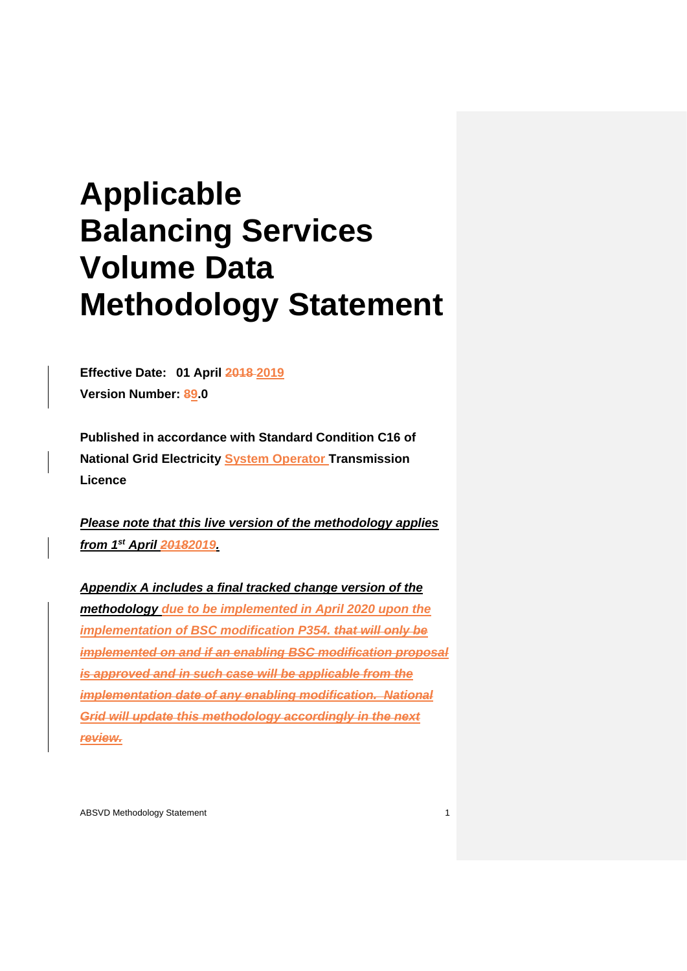# **Applicable Balancing Services Volume Data Methodology Statement**

**Effective Date: 01 April 2018 2019 Version Number: 89.0**

**Published in accordance with Standard Condition C16 of National Grid Electricity System Operator Transmission Licence**

*Please note that this live version of the methodology applies from 1st April 20182019.* 

*Appendix A includes a final tracked change version of the methodology due to be implemented in April 2020 upon the implementation of BSC modification P354. that will only be implemented on and if an enabling BSC modification proposal is approved and in such case will be applicable from the implementation date of any enabling modification. National Grid will update this methodology accordingly in the next review.*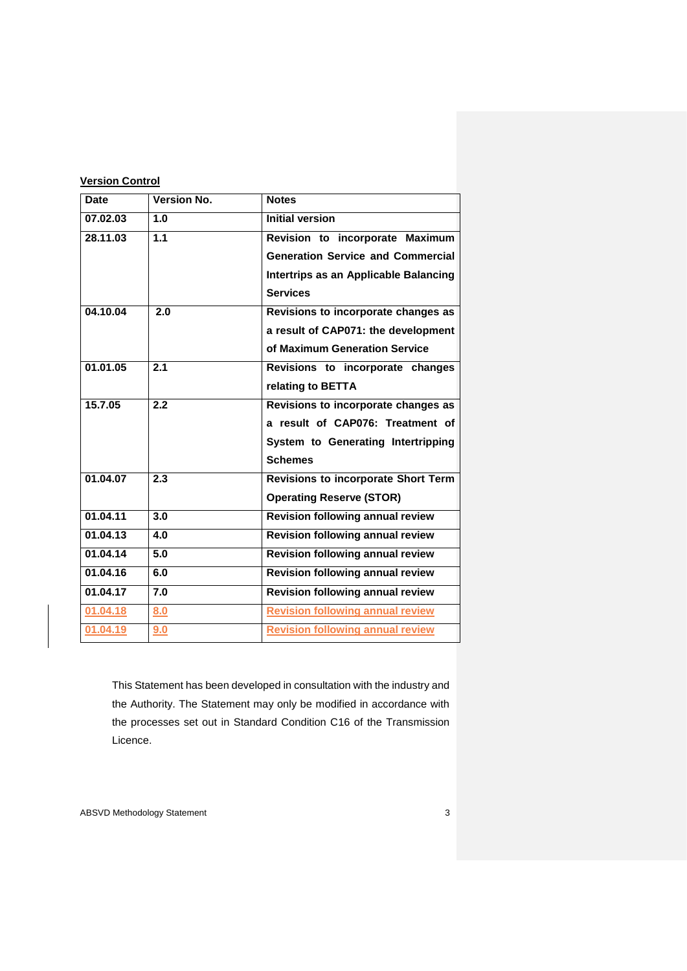#### **Version Control**

| <b>Date</b> | <b>Version No.</b> | <b>Notes</b>                               |
|-------------|--------------------|--------------------------------------------|
| 07.02.03    | 1.0                | <b>Initial version</b>                     |
| 28.11.03    | 1.1                | Revision to incorporate Maximum            |
|             |                    | <b>Generation Service and Commercial</b>   |
|             |                    | Intertrips as an Applicable Balancing      |
|             |                    | <b>Services</b>                            |
| 04.10.04    | 2.0                | Revisions to incorporate changes as        |
|             |                    | a result of CAP071: the development        |
|             |                    | of Maximum Generation Service              |
| 01.01.05    | 2.1                | Revisions to incorporate changes           |
|             |                    | relating to BETTA                          |
| 15.7.05     | 2.2                | Revisions to incorporate changes as        |
|             |                    | a result of CAP076: Treatment of           |
|             |                    | System to Generating Intertripping         |
|             |                    | <b>Schemes</b>                             |
| 01.04.07    | 2.3                | <b>Revisions to incorporate Short Term</b> |
|             |                    | <b>Operating Reserve (STOR)</b>            |
| 01.04.11    | 3.0                | <b>Revision following annual review</b>    |
| 01.04.13    | 4.0                | <b>Revision following annual review</b>    |
| 01.04.14    | 5.0                | <b>Revision following annual review</b>    |
| 01.04.16    | 6.0                | <b>Revision following annual review</b>    |
| 01.04.17    | 7.0                | <b>Revision following annual review</b>    |
| 01.04.18    | 8.0                | <b>Revision following annual review</b>    |
| 01.04.19    | 9.0                | <b>Revision following annual review</b>    |

This Statement has been developed in consultation with the industry and the Authority. The Statement may only be modified in accordance with the processes set out in Standard Condition C16 of the Transmission Licence.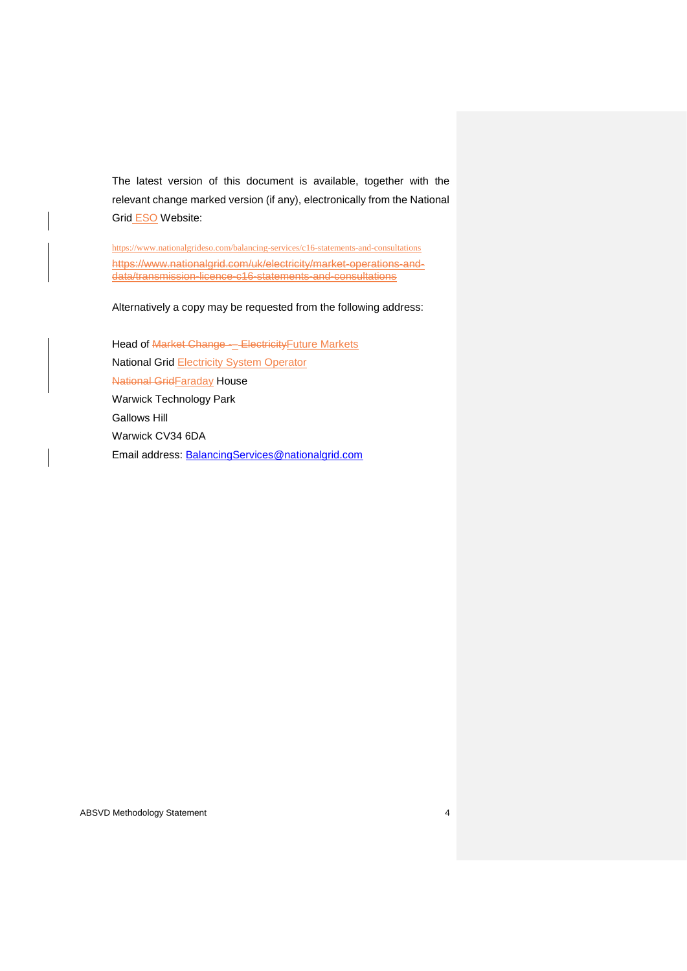The latest version of this document is available, together with the relevant change marked version (if any), electronically from the National Grid **ESO** Website:

https://www.nationalgrideso.com/balancing-services/c16-statements-and-consultations https://www.nationalgrid.com/uk/electricity/market-operations-anddata/transmission-licence-c16-statements-and-consultations

Alternatively a copy may be requested from the following address:

Head of Market Change -- Electricity Future Markets National Grid Electricity System Operator National GridFaraday House Warwick Technology Park Gallows Hill Warwick CV34 6DA Email address: [BalancingServices@nationalgrid.com](mailto:BalancingServices@nationalgrid.com)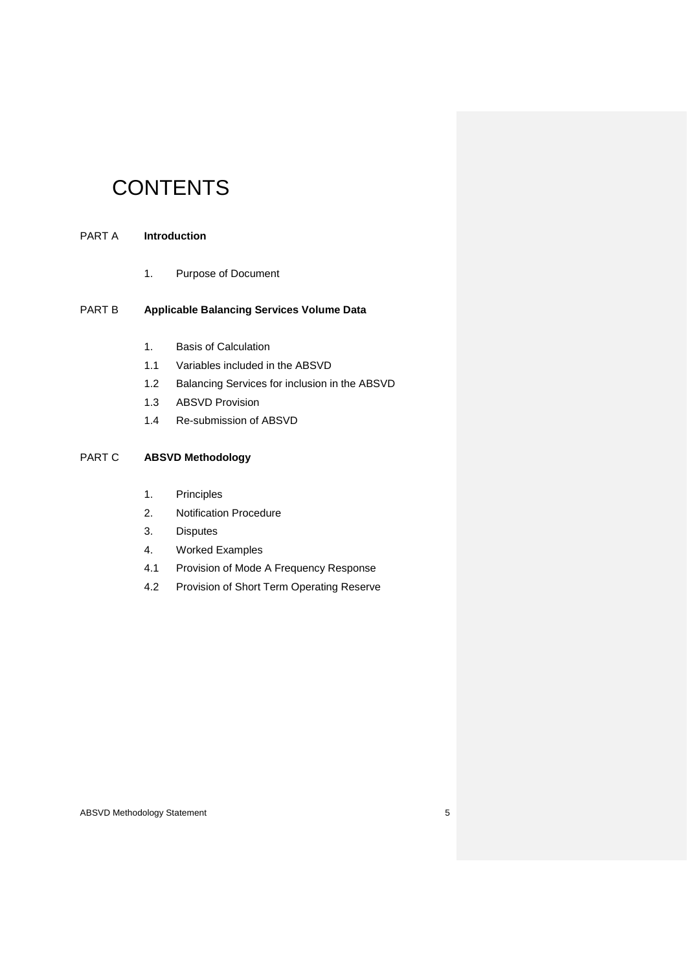# **CONTENTS**

#### PART A **Introduction**

1. Purpose of Document

#### PART B **Applicable Balancing Services Volume Data**

- 1. Basis of Calculation
- 1.1 Variables included in the ABSVD
- 1.2 Balancing Services for inclusion in the ABSVD
- 1.3 ABSVD Provision
- 1.4 Re-submission of ABSVD

#### PART C **ABSVD Methodology**

- 1. Principles
- 2. Notification Procedure
- 3. Disputes
- 4. Worked Examples
- 4.1 Provision of Mode A Frequency Response
- 4.2 Provision of Short Term Operating Reserve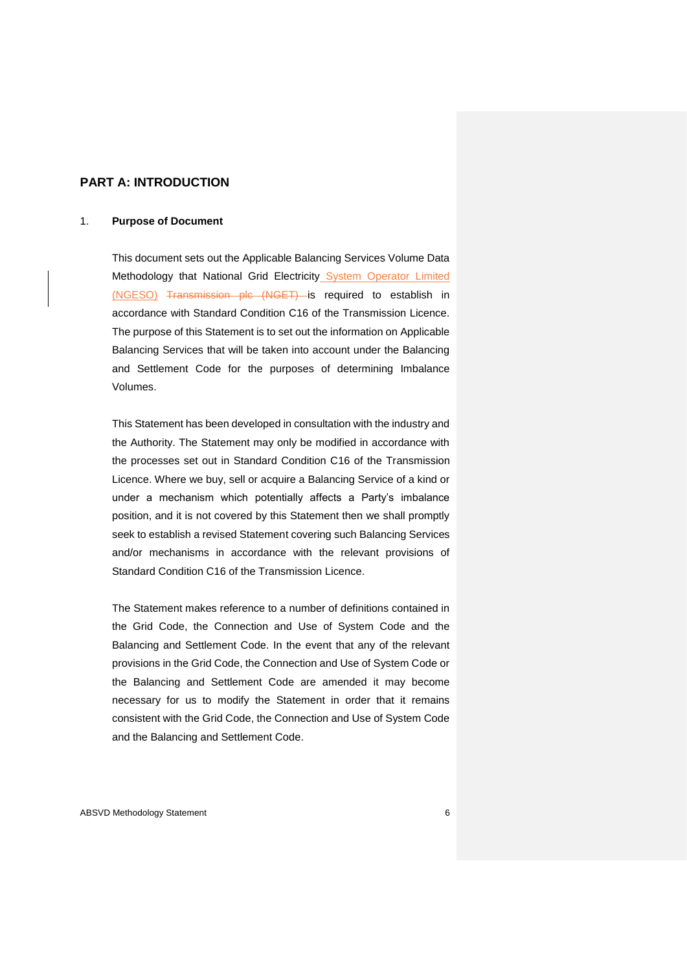#### **PART A: INTRODUCTION**

#### 1. **Purpose of Document**

This document sets out the Applicable Balancing Services Volume Data Methodology that National Grid Electricity System Operator Limited (NGESO) Transmission plc (NGET) is required to establish in accordance with Standard Condition C16 of the Transmission Licence. The purpose of this Statement is to set out the information on Applicable Balancing Services that will be taken into account under the Balancing and Settlement Code for the purposes of determining Imbalance Volumes.

This Statement has been developed in consultation with the industry and the Authority. The Statement may only be modified in accordance with the processes set out in Standard Condition C16 of the Transmission Licence. Where we buy, sell or acquire a Balancing Service of a kind or under a mechanism which potentially affects a Party's imbalance position, and it is not covered by this Statement then we shall promptly seek to establish a revised Statement covering such Balancing Services and/or mechanisms in accordance with the relevant provisions of Standard Condition C16 of the Transmission Licence.

The Statement makes reference to a number of definitions contained in the Grid Code, the Connection and Use of System Code and the Balancing and Settlement Code. In the event that any of the relevant provisions in the Grid Code, the Connection and Use of System Code or the Balancing and Settlement Code are amended it may become necessary for us to modify the Statement in order that it remains consistent with the Grid Code, the Connection and Use of System Code and the Balancing and Settlement Code.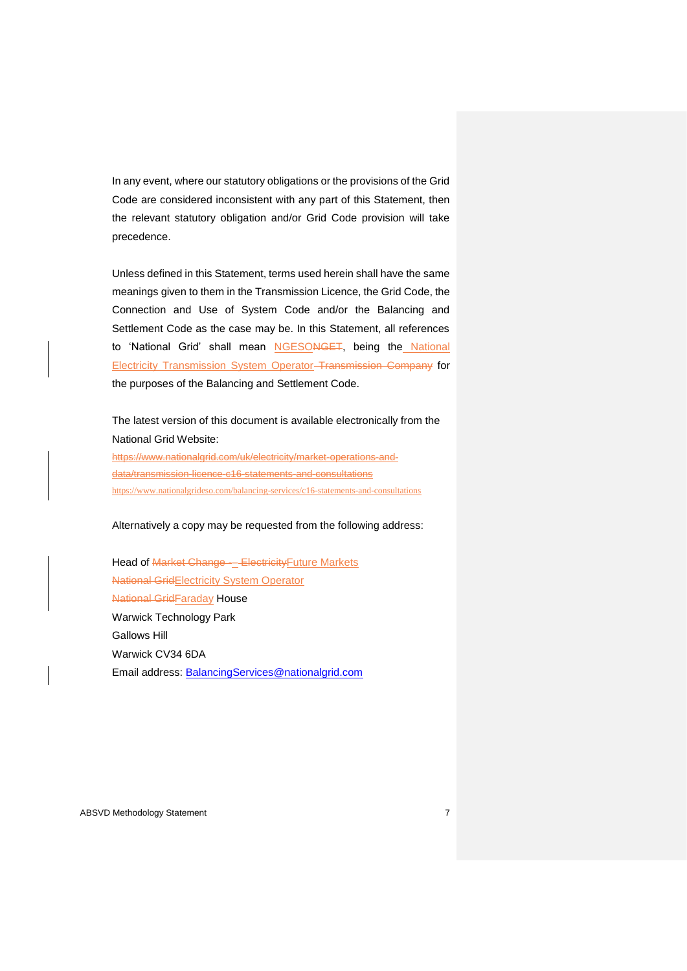In any event, where our statutory obligations or the provisions of the Grid Code are considered inconsistent with any part of this Statement, then the relevant statutory obligation and/or Grid Code provision will take precedence.

Unless defined in this Statement, terms used herein shall have the same meanings given to them in the Transmission Licence, the Grid Code, the Connection and Use of System Code and/or the Balancing and Settlement Code as the case may be. In this Statement, all references to 'National Grid' shall mean NGESONGET, being the National Electricity Transmission System Operator Transmission Company for the purposes of the Balancing and Settlement Code.

The latest version of this document is available electronically from the National Grid Website: https://www.nationalgrid.com/uk/electricity/market-operations-and-

data/transmission-licence-c16-statements-and-consultations https://www.nationalgrideso.com/balancing-services/c16-statements-and-consultations

Alternatively a copy may be requested from the following address:

Head of Market Change -- Electricity Future Markets National GridElectricity System Operator **National GridFaraday House** Warwick Technology Park Gallows Hill Warwick CV34 6DA Email address: [BalancingServices@nationalgrid.com](mailto:BalancingServices@nationalgrid.com)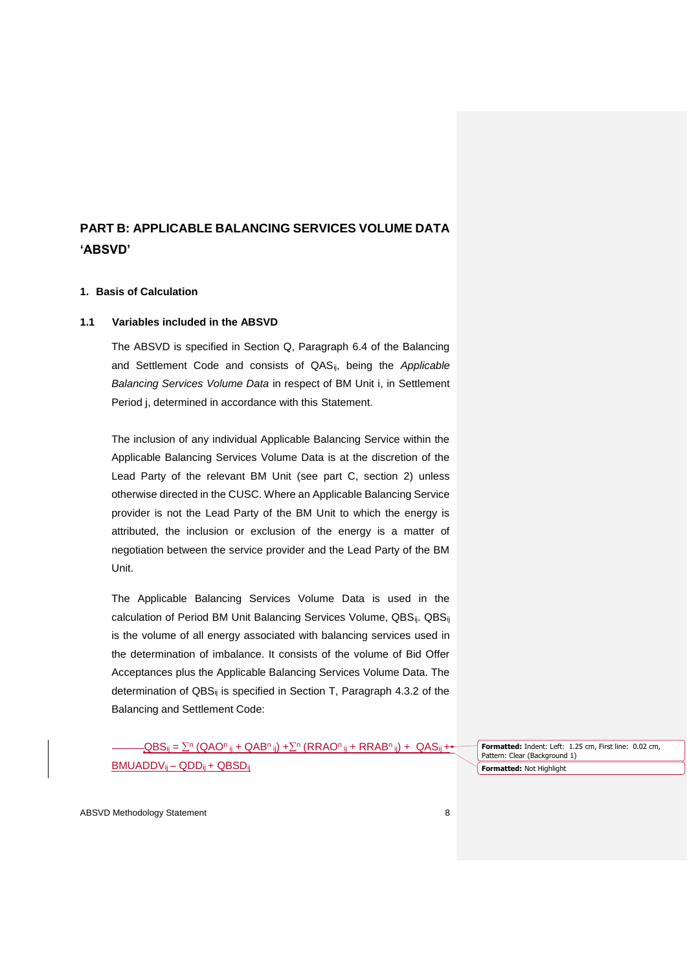## **PART B: APPLICABLE BALANCING SERVICES VOLUME DATA 'ABSVD'**

#### **1. Basis of Calculation**

#### **1.1 Variables included in the ABSVD**

The ABSVD is specified in Section Q, Paragraph 6.4 of the Balancing and Settlement Code and consists of QASij, being the *Applicable Balancing Services Volume Data* in respect of BM Unit i, in Settlement Period j, determined in accordance with this Statement.

The inclusion of any individual Applicable Balancing Service within the Applicable Balancing Services Volume Data is at the discretion of the Lead Party of the relevant BM Unit (see part C, section 2) unless otherwise directed in the CUSC. Where an Applicable Balancing Service provider is not the Lead Party of the BM Unit to which the energy is attributed, the inclusion or exclusion of the energy is a matter of negotiation between the service provider and the Lead Party of the BM Unit.

The Applicable Balancing Services Volume Data is used in the calculation of Period BM Unit Balancing Services Volume, QBSij. QBSij is the volume of all energy associated with balancing services used in the determination of imbalance. It consists of the volume of Bid Offer Acceptances plus the Applicable Balancing Services Volume Data. The determination of QBS<sub>ij</sub> is specified in Section T, Paragraph 4.3.2 of the Balancing and Settlement Code:

 $\overline{\text{QBS}}$ ij =  $\sum$ n (QAOn ij + QABn ij) + $\sum$ n (RRAOn ij + RRABn ij) + QASij + $^4$ BMUADDVij – QDDij + QBSDij

**Formatted:** Indent: Left: 1.25 cm, First line: 0.02 cm, Pattern: Clear (Background 1) **Formatted:** Not Highlight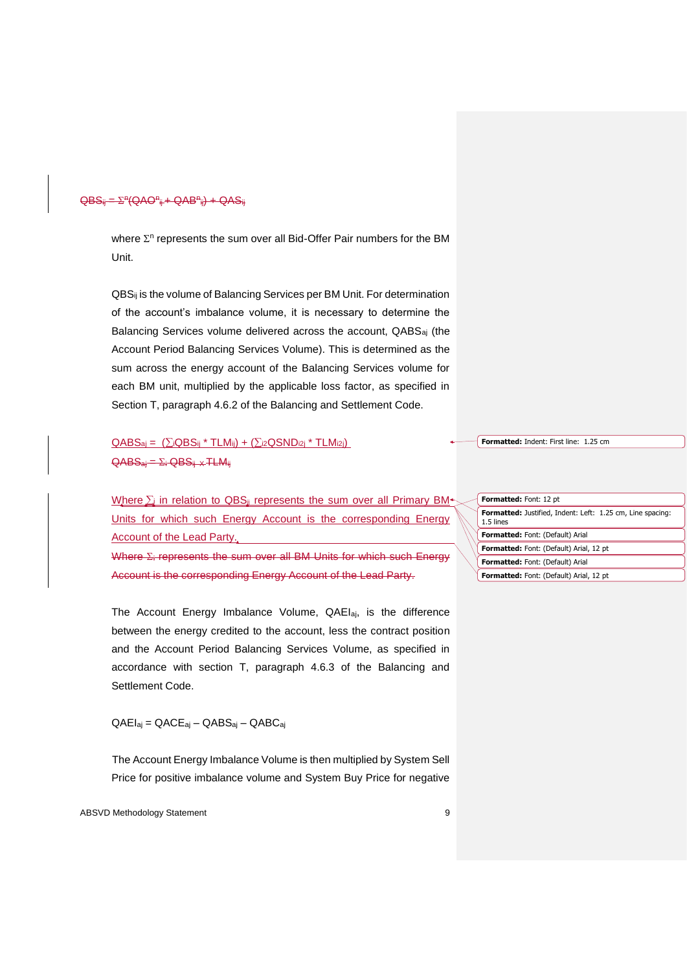#### $\overline{QBS_{ij}} = \Sigma^{n} (QAO^{n}_{ij} + QAB^{n}{}_{ij}) + QAS_{ij}$

where  $\Sigma$ <sup>n</sup> represents the sum over all Bid-Offer Pair numbers for the BM Unit.

QBS<sub>ij</sub> is the volume of Balancing Services per BM Unit. For determination of the account's imbalance volume, it is necessary to determine the Balancing Services volume delivered across the account, QABSaj (the Account Period Balancing Services Volume). This is determined as the sum across the energy account of the Balancing Services volume for each BM unit, multiplied by the applicable loss factor, as specified in Section T, paragraph 4.6.2 of the Balancing and Settlement Code.

## $QABS_{ai} = (\sum_{i}QBS_{ij} * TLM_{ij}) + (\sum_{i2}QSND_{i2j} * TLM_{i2j})$  $QABS_{ai} = \sum_i QBS_{ii} \times TLM_{ii}$

Where  $\Sigma$  in relation to QBS<sub>ij</sub> represents the sum over all Primary BM+ Units for which such Energy Account is the corresponding Energy Account of the Lead Party.

Where  $\Sigma_i$  represents the sum over all BM Units for which such Energy Account is the corresponding Energy Account of the Lead Party.

The Account Energy Imbalance Volume, QAEIaj, is the difference between the energy credited to the account, less the contract position and the Account Period Balancing Services Volume, as specified in accordance with section T, paragraph 4.6.3 of the Balancing and Settlement Code.

QAEIaj = QACEaj – QABSaj – QABCaj

The Account Energy Imbalance Volume is then multiplied by System Sell Price for positive imbalance volume and System Buy Price for negative **Formatted:** Indent: First line: 1.25 cm

| Formatted: Font: 12 pt                                                  |
|-------------------------------------------------------------------------|
| Formatted: Justified, Indent: Left: 1.25 cm, Line spacing:<br>1.5 lines |
| Formatted: Font: (Default) Arial                                        |
| Formatted: Font: (Default) Arial, 12 pt                                 |
| Formatted: Font: (Default) Arial                                        |
| Formatted: Font: (Default) Arial, 12 pt                                 |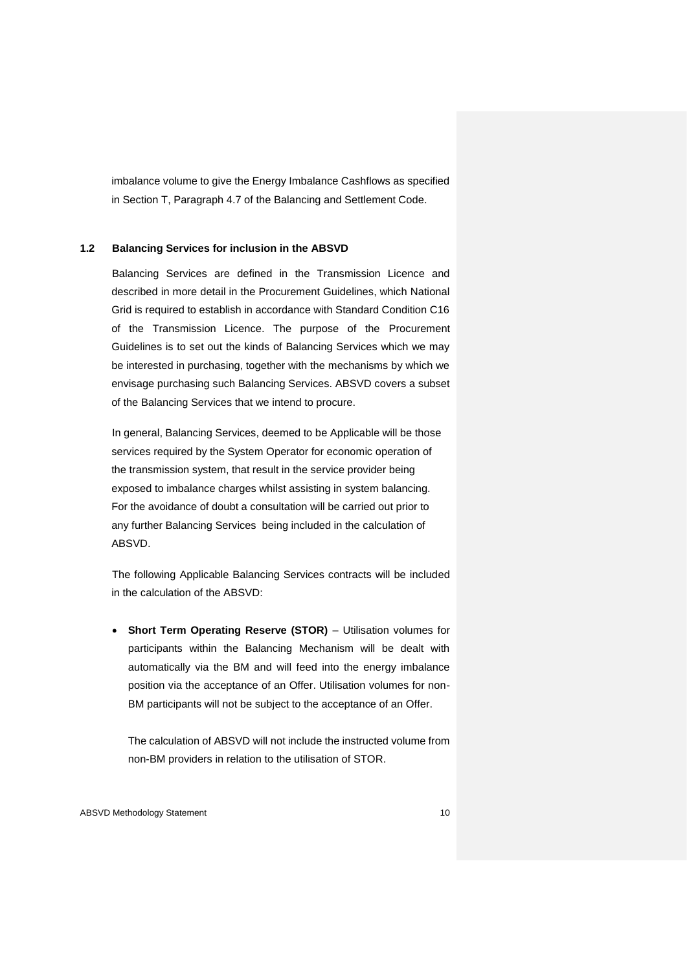imbalance volume to give the Energy Imbalance Cashflows as specified in Section T, Paragraph 4.7 of the Balancing and Settlement Code.

#### **1.2 Balancing Services for inclusion in the ABSVD**

Balancing Services are defined in the Transmission Licence and described in more detail in the Procurement Guidelines, which National Grid is required to establish in accordance with Standard Condition C16 of the Transmission Licence. The purpose of the Procurement Guidelines is to set out the kinds of Balancing Services which we may be interested in purchasing, together with the mechanisms by which we envisage purchasing such Balancing Services. ABSVD covers a subset of the Balancing Services that we intend to procure.

In general, Balancing Services, deemed to be Applicable will be those services required by the System Operator for economic operation of the transmission system, that result in the service provider being exposed to imbalance charges whilst assisting in system balancing. For the avoidance of doubt a consultation will be carried out prior to any further Balancing Services being included in the calculation of ABSVD.

The following Applicable Balancing Services contracts will be included in the calculation of the ABSVD:

• **Short Term Operating Reserve (STOR)** – Utilisation volumes for participants within the Balancing Mechanism will be dealt with automatically via the BM and will feed into the energy imbalance position via the acceptance of an Offer. Utilisation volumes for non-BM participants will not be subject to the acceptance of an Offer.

The calculation of ABSVD will not include the instructed volume from non-BM providers in relation to the utilisation of STOR.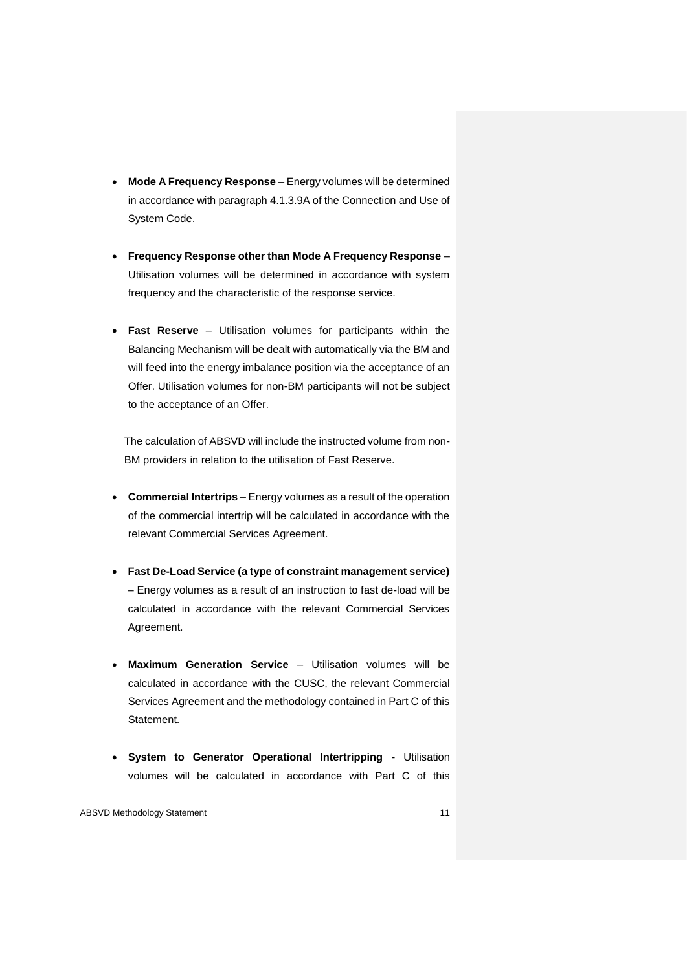- **Mode A Frequency Response**  Energy volumes will be determined in accordance with paragraph 4.1.3.9A of the Connection and Use of System Code.
- **Frequency Response other than Mode A Frequency Response** Utilisation volumes will be determined in accordance with system frequency and the characteristic of the response service.
- **Fast Reserve** Utilisation volumes for participants within the Balancing Mechanism will be dealt with automatically via the BM and will feed into the energy imbalance position via the acceptance of an Offer. Utilisation volumes for non-BM participants will not be subject to the acceptance of an Offer.

The calculation of ABSVD will include the instructed volume from non-BM providers in relation to the utilisation of Fast Reserve.

- **Commercial Intertrips** Energy volumes as a result of the operation of the commercial intertrip will be calculated in accordance with the relevant Commercial Services Agreement.
- **Fast De-Load Service (a type of constraint management service)** – Energy volumes as a result of an instruction to fast de-load will be calculated in accordance with the relevant Commercial Services Agreement.
- **Maximum Generation Service** Utilisation volumes will be calculated in accordance with the CUSC, the relevant Commercial Services Agreement and the methodology contained in Part C of this **Statement**
- **System to Generator Operational Intertripping** Utilisation volumes will be calculated in accordance with Part C of this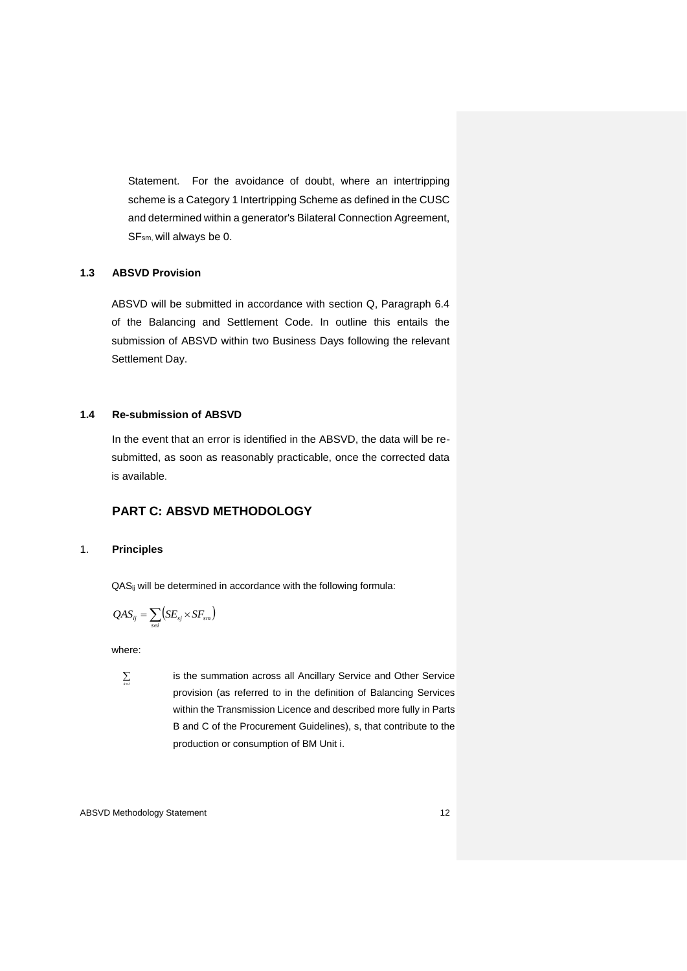Statement. For the avoidance of doubt, where an intertripping scheme is a Category 1 Intertripping Scheme as defined in the CUSC and determined within a generator's Bilateral Connection Agreement, SFsm, will always be 0.

#### **1.3 ABSVD Provision**

ABSVD will be submitted in accordance with section Q, Paragraph 6.4 of the Balancing and Settlement Code. In outline this entails the submission of ABSVD within two Business Days following the relevant Settlement Day.

#### **1.4 Re-submission of ABSVD**

In the event that an error is identified in the ABSVD, the data will be resubmitted, as soon as reasonably practicable, once the corrected data is available.

### **PART C: ABSVD METHODOLOGY**

#### 1. **Principles**

QAS<sub>ij</sub> will be determined in accordance with the following formula:

$$
QAS_{ij} = \sum_{s \in i} (SE_{sj} \times SF_{sm})
$$

where:

*si*

is the summation across all Ancillary Service and Other Service provision (as referred to in the definition of Balancing Services within the Transmission Licence and described more fully in Parts B and C of the Procurement Guidelines), s, that contribute to the production or consumption of BM Unit i.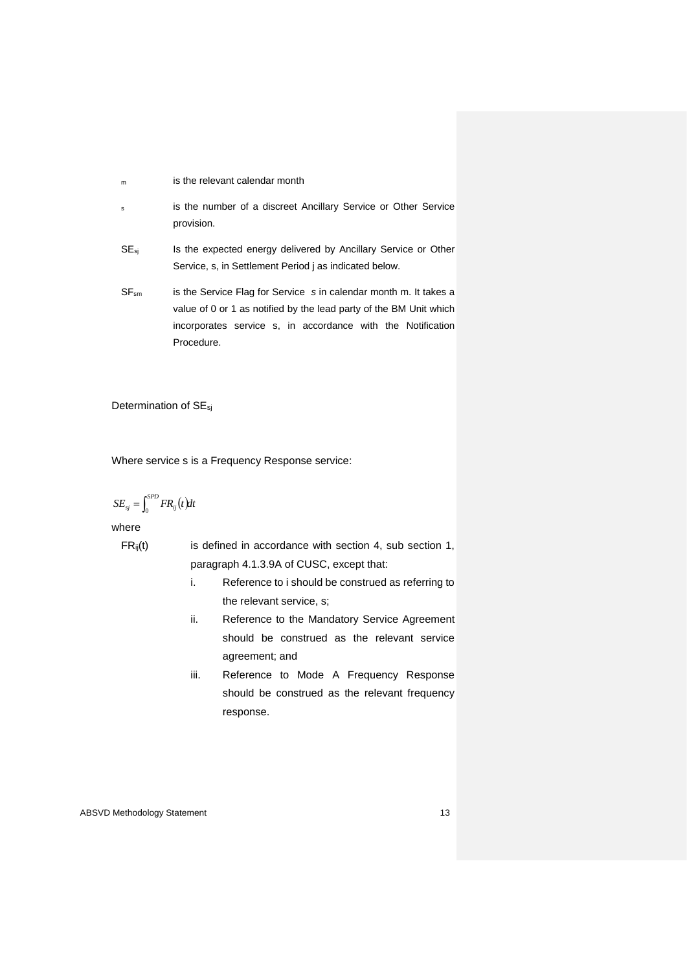#### m is the relevant calendar month

- s is the number of a discreet Ancillary Service or Other Service provision.
- SE<sub>si</sub> Is the expected energy delivered by Ancillary Service or Other Service, s, in Settlement Period j as indicated below.
- SFsm is the Service Flag for Service *s* in calendar month m. It takes a value of 0 or 1 as notified by the lead party of the BM Unit which incorporates service s, in accordance with the Notification Procedure.

#### Determination of SEsj

Where service s is a Frequency Response service:

$$
SE_{sj} = \int_0^{SPD} FR_{ij}(t) dt
$$

where

 $FR_{ij}(t)$  is defined in accordance with section 4, sub section 1, paragraph 4.1.3.9A of CUSC, except that:

- i. Reference to i should be construed as referring to the relevant service, s;
- ii. Reference to the Mandatory Service Agreement should be construed as the relevant service agreement; and
- iii. Reference to Mode A Frequency Response should be construed as the relevant frequency response.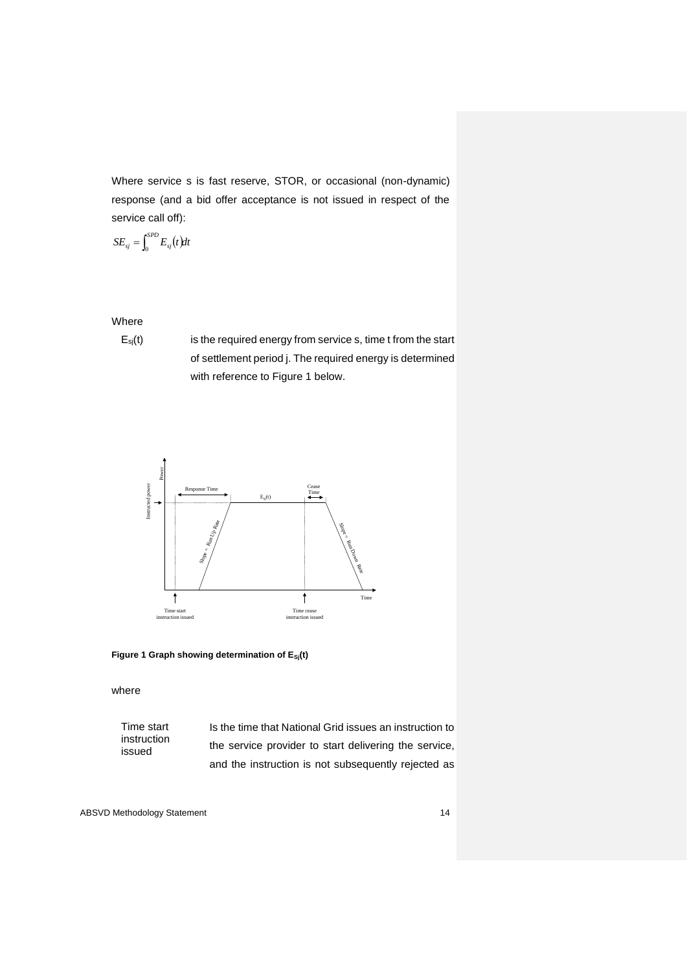Where service s is fast reserve, STOR, or occasional (non-dynamic) response (and a bid offer acceptance is not issued in respect of the service call off):

$$
SE_{sj} = \int_0^{SPD} E_{sj}(t) dt
$$

#### Where

 $E_{si}(t)$  is the required energy from service s, time t from the start of settlement period j. The required energy is determined with reference to Figure 1 below.





#### where

Time start instruction issued

Is the time that National Grid issues an instruction to the service provider to start delivering the service, and the instruction is not subsequently rejected as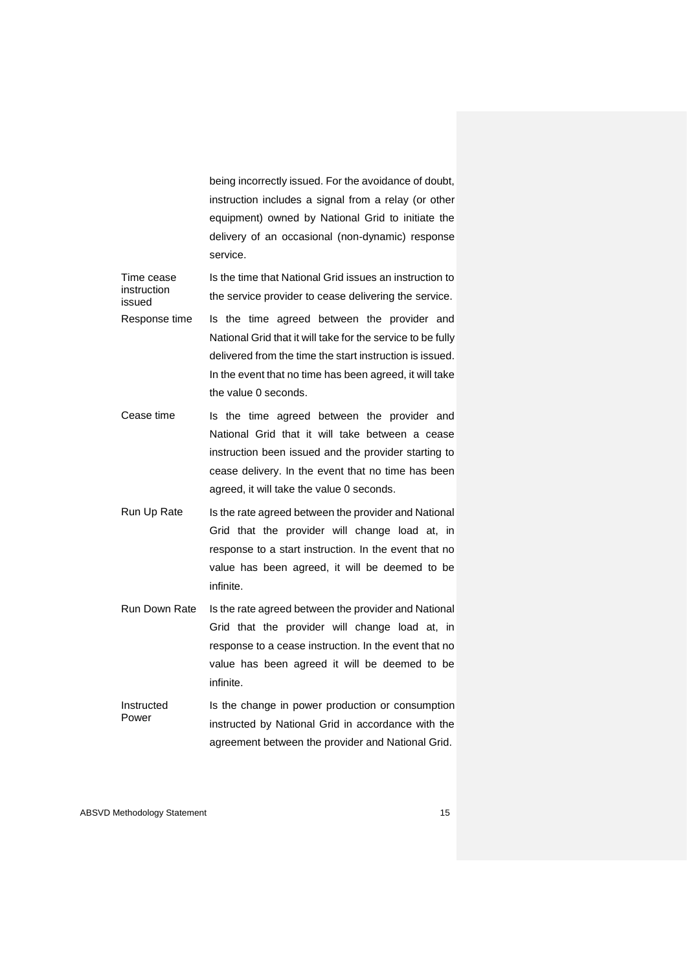being incorrectly issued. For the avoidance of doubt, instruction includes a signal from a relay (or other equipment) owned by National Grid to initiate the delivery of an occasional (non-dynamic) response service.

Time cease instruction issued Is the time that National Grid issues an instruction to the service provider to cease delivering the service. Response time Is the time agreed between the provider and National Grid that it will take for the service to be fully delivered from the time the start instruction is issued. In the event that no time has been agreed, it will take the value 0 seconds.

- Cease time Is the time agreed between the provider and National Grid that it will take between a cease instruction been issued and the provider starting to cease delivery. In the event that no time has been agreed, it will take the value 0 seconds.
- Run Up Rate Is the rate agreed between the provider and National Grid that the provider will change load at, in response to a start instruction. In the event that no value has been agreed, it will be deemed to be infinite.
- Run Down Rate Is the rate agreed between the provider and National Grid that the provider will change load at, in response to a cease instruction. In the event that no value has been agreed it will be deemed to be infinite.
- Instructed Power Is the change in power production or consumption instructed by National Grid in accordance with the agreement between the provider and National Grid.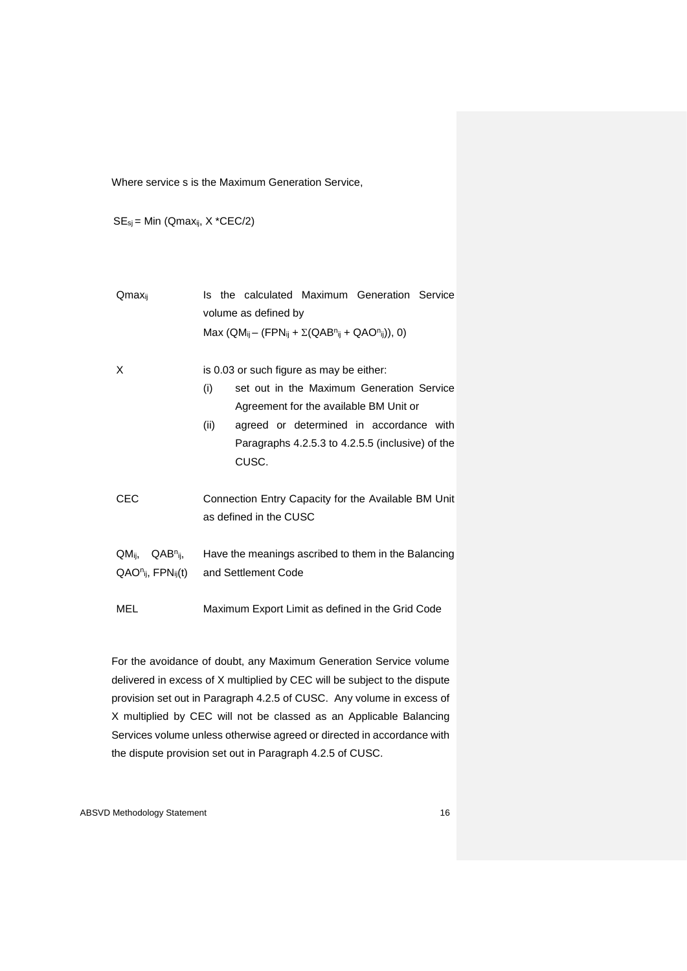Where service s is the Maximum Generation Service,

 $SE<sub>sj</sub> = Min (Qmax<sub>ij</sub>, X * CEC/2)$ 

| Qmax <sub>ii</sub>                                                  | Is the calculated Maximum Generation Service<br>volume as defined by<br>Max (QM <sub>ij</sub> – (FPN <sub>ij</sub> + $\Sigma$ (QAB <sup>n</sup> ij + QAO <sup>n</sup> ij)), 0)                                                                         |  |  |  |  |
|---------------------------------------------------------------------|--------------------------------------------------------------------------------------------------------------------------------------------------------------------------------------------------------------------------------------------------------|--|--|--|--|
| X                                                                   | is 0.03 or such figure as may be either:<br>set out in the Maximum Generation Service<br>(i)<br>Agreement for the available BM Unit or<br>agreed or determined in accordance with<br>(ii)<br>Paragraphs 4.2.5.3 to 4.2.5.5 (inclusive) of the<br>CUSC. |  |  |  |  |
| CEC                                                                 | Connection Entry Capacity for the Available BM Unit<br>as defined in the CUSC                                                                                                                                                                          |  |  |  |  |
| QM <sub>ii</sub> ,<br>$QAB^n_{ii}$<br>QAO <sup>n</sup> ij, FPNij(t) | Have the meanings ascribed to them in the Balancing<br>and Settlement Code                                                                                                                                                                             |  |  |  |  |
| MEL                                                                 | Maximum Export Limit as defined in the Grid Code                                                                                                                                                                                                       |  |  |  |  |

For the avoidance of doubt, any Maximum Generation Service volume delivered in excess of X multiplied by CEC will be subject to the dispute provision set out in Paragraph 4.2.5 of CUSC. Any volume in excess of X multiplied by CEC will not be classed as an Applicable Balancing Services volume unless otherwise agreed or directed in accordance with the dispute provision set out in Paragraph 4.2.5 of CUSC.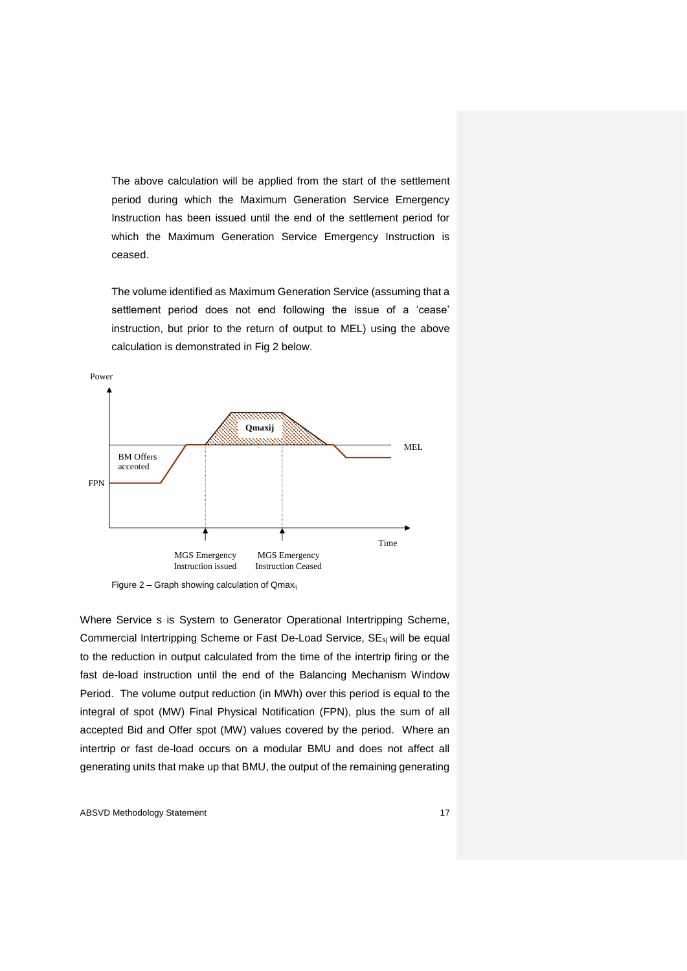The above calculation will be applied from the start of the settlement period during which the Maximum Generation Service Emergency Instruction has been issued until the end of the settlement period for which the Maximum Generation Service Emergency Instruction is ceased.

The volume identified as Maximum Generation Service (assuming that a settlement period does not end following the issue of a 'cease' instruction, but prior to the return of output to MEL) using the above calculation is demonstrated in Fig 2 below.



Figure 2 – Graph showing calculation of Qmaxij

Where Service s is System to Generator Operational Intertripping Scheme, Commercial Intertripping Scheme or Fast De-Load Service, SEsj will be equal to the reduction in output calculated from the time of the intertrip firing or the fast de-load instruction until the end of the Balancing Mechanism Window Period. The volume output reduction (in MWh) over this period is equal to the integral of spot (MW) Final Physical Notification (FPN), plus the sum of all accepted Bid and Offer spot (MW) values covered by the period. Where an intertrip or fast de-load occurs on a modular BMU and does not affect all generating units that make up that BMU, the output of the remaining generating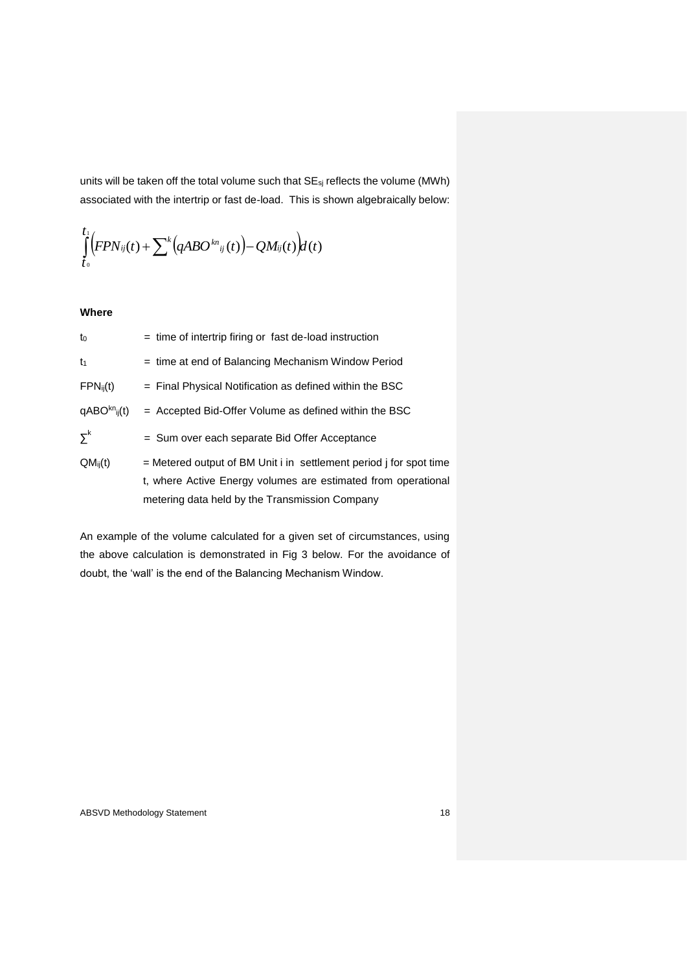units will be taken off the total volume such that SE<sub>sj</sub> reflects the volume (MWh) associated with the intertrip or fast de-load. This is shown algebraically below:

$$
\int\limits_{t_0}^{t_1}\Bigl(FPN_{ij}(t)+\sum\nolimits^k\Bigl(qABO^{kn}_{ij}(t)\Bigr)-QM_{ij}(t)\Bigr)d(t)
$$

#### **Where**

| to                         | = time of intertrip firing or fast de-load instruction             |
|----------------------------|--------------------------------------------------------------------|
| t1                         | = time at end of Balancing Mechanism Window Period                 |
| $FPN_{ij}(t)$              | $=$ Final Physical Notification as defined within the BSC          |
| $qABOkn$ <sub>ii</sub> (t) | = Accepted Bid-Offer Volume as defined within the BSC              |
| $\Sigma^k$                 | = Sum over each separate Bid Offer Acceptance                      |
| $QM_{ij}(t)$               | = Metered output of BM Unit i in settlement period j for spot time |
|                            | t, where Active Energy volumes are estimated from operational      |
|                            | metering data held by the Transmission Company                     |

An example of the volume calculated for a given set of circumstances, using the above calculation is demonstrated in Fig 3 below. For the avoidance of doubt, the 'wall' is the end of the Balancing Mechanism Window.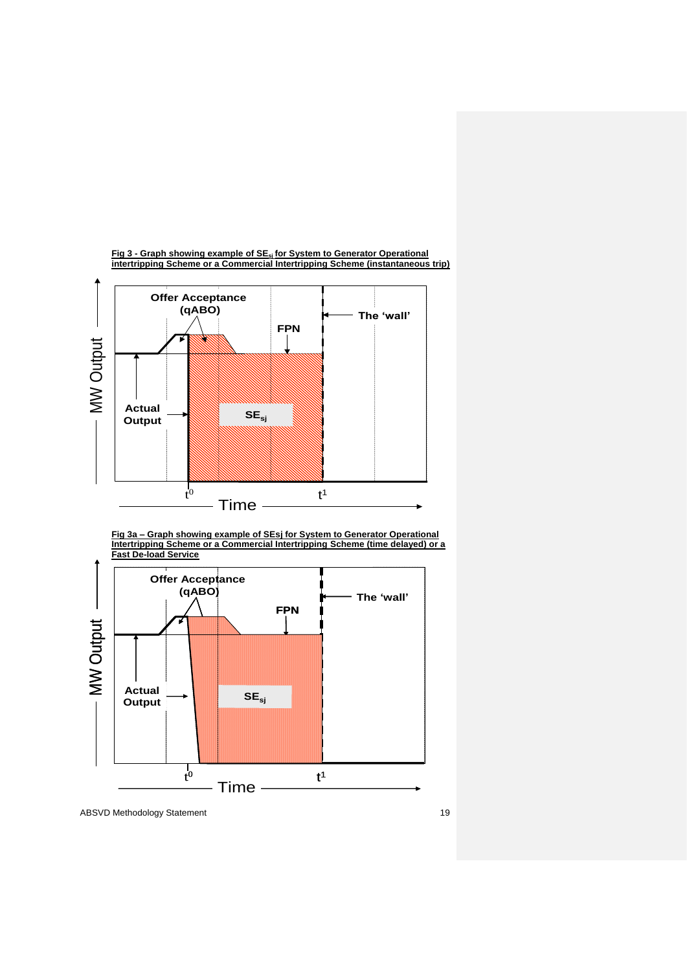



**Fig 3a – Graph showing example of SEsj for System to Generator Operational Intertripping Scheme or a Commercial Intertripping Scheme (time delayed) or a** 

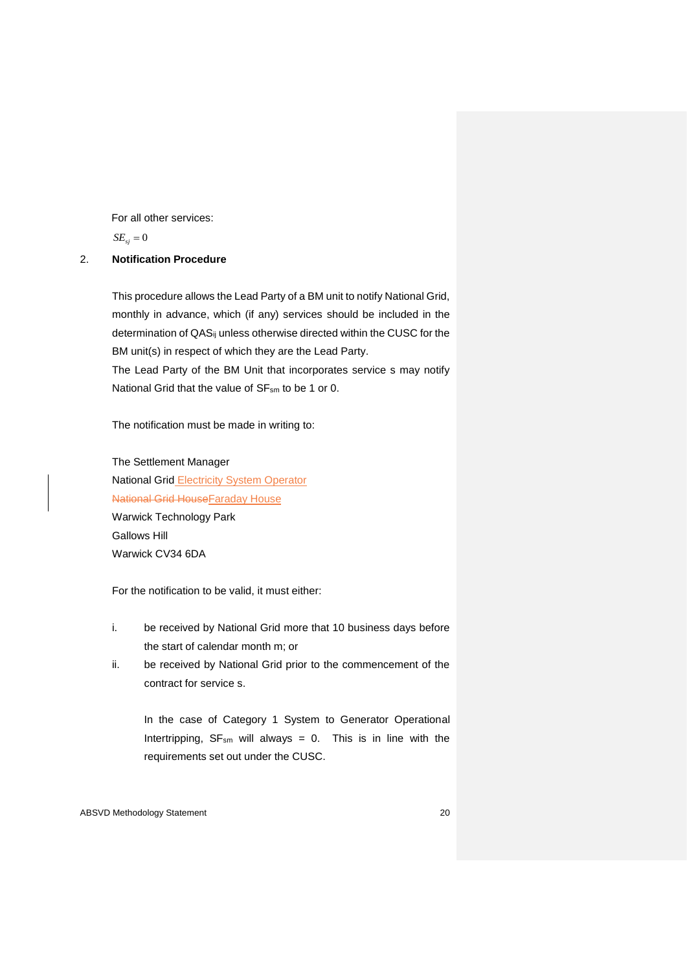For all other services:

 $SE_{sj} = 0$ 

#### 2. **Notification Procedure**

This procedure allows the Lead Party of a BM unit to notify National Grid, monthly in advance, which (if any) services should be included in the determination of QAS<sub>ij</sub> unless otherwise directed within the CUSC for the BM unit(s) in respect of which they are the Lead Party. The Lead Party of the BM Unit that incorporates service s may notify

National Grid that the value of SF<sub>sm</sub> to be 1 or 0.

The notification must be made in writing to:

The Settlement Manager National Grid Electricity System Operator National Grid House Faraday House Warwick Technology Park Gallows Hill Warwick CV34 6DA

For the notification to be valid, it must either:

- i. be received by National Grid more that 10 business days before the start of calendar month m; or
- ii. be received by National Grid prior to the commencement of the contract for service s.

In the case of Category 1 System to Generator Operational Intertripping,  $SF_{sm}$  will always = 0. This is in line with the requirements set out under the CUSC.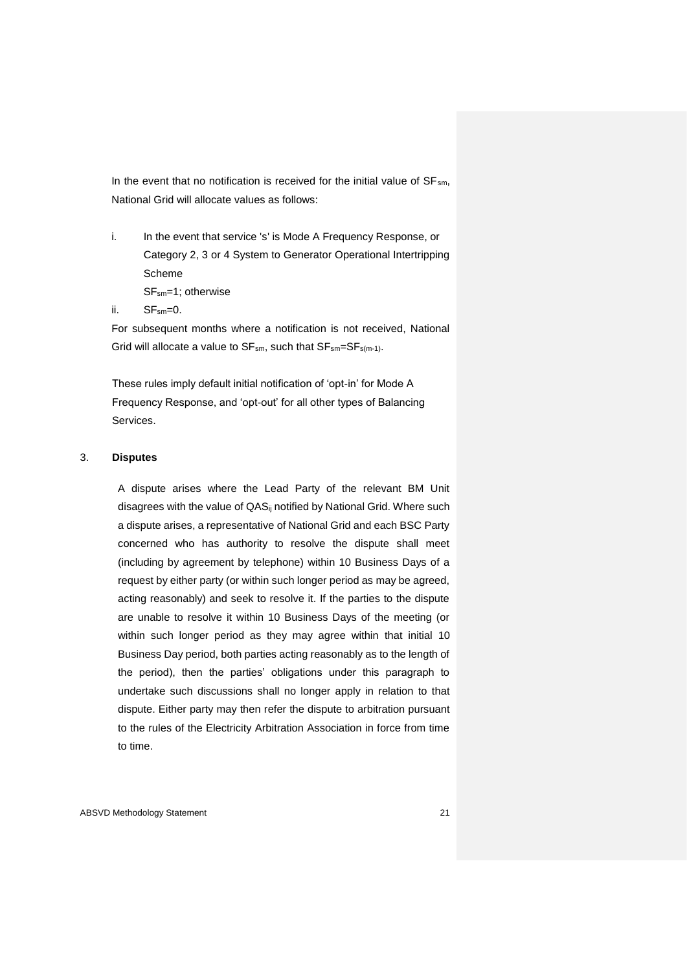In the event that no notification is received for the initial value of  $SF_{sm}$ , National Grid will allocate values as follows:

- i. In the event that service 's' is Mode A Frequency Response, or Category 2, 3 or 4 System to Generator Operational Intertripping Scheme SFsm=1; otherwise
	-
- ii. SF<sub>sm</sub>=0.

For subsequent months where a notification is not received, National Grid will allocate a value to  $SF_{sm}$ , such that  $SF_{sm} = SF_{s(m-1)}$ .

These rules imply default initial notification of 'opt-in' for Mode A Frequency Response, and 'opt-out' for all other types of Balancing Services.

#### 3. **Disputes**

A dispute arises where the Lead Party of the relevant BM Unit disagrees with the value of QAS<sub>ii</sub> notified by National Grid. Where such a dispute arises, a representative of National Grid and each BSC Party concerned who has authority to resolve the dispute shall meet (including by agreement by telephone) within 10 Business Days of a request by either party (or within such longer period as may be agreed, acting reasonably) and seek to resolve it. If the parties to the dispute are unable to resolve it within 10 Business Days of the meeting (or within such longer period as they may agree within that initial 10 Business Day period, both parties acting reasonably as to the length of the period), then the parties' obligations under this paragraph to undertake such discussions shall no longer apply in relation to that dispute. Either party may then refer the dispute to arbitration pursuant to the rules of the Electricity Arbitration Association in force from time to time.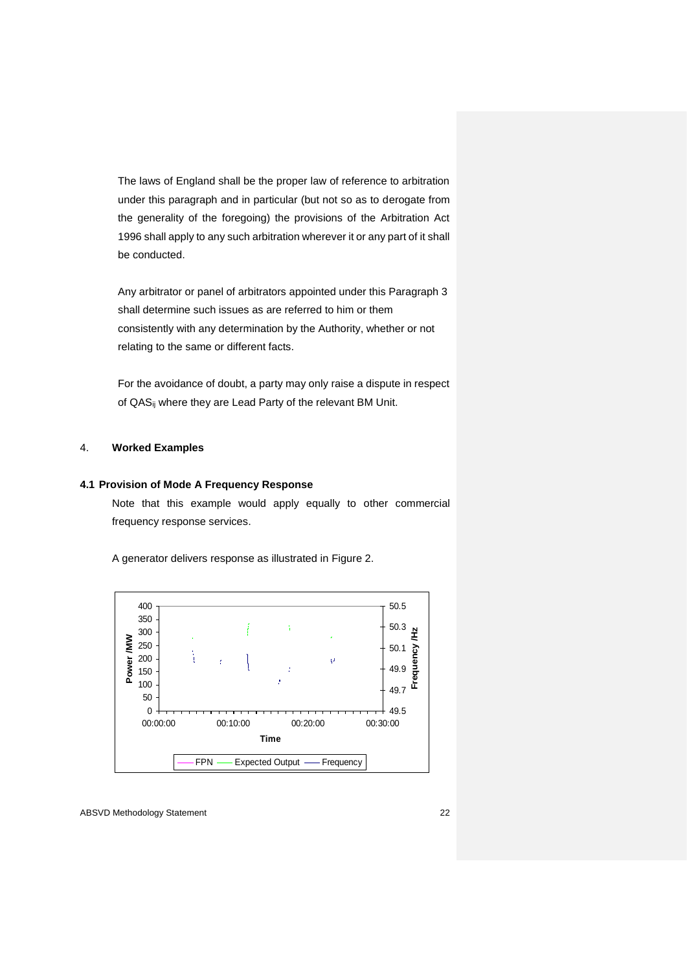The laws of England shall be the proper law of reference to arbitration under this paragraph and in particular (but not so as to derogate from the generality of the foregoing) the provisions of the Arbitration Act 1996 shall apply to any such arbitration wherever it or any part of it shall be conducted.

Any arbitrator or panel of arbitrators appointed under this Paragraph 3 shall determine such issues as are referred to him or them consistently with any determination by the Authority, whether or not relating to the same or different facts.

For the avoidance of doubt, a party may only raise a dispute in respect of QAS<sub>ij</sub> where they are Lead Party of the relevant BM Unit.

#### 4. **Worked Examples**

#### **4.1 Provision of Mode A Frequency Response**

Note that this example would apply equally to other commercial frequency response services.

A generator delivers response as illustrated in Figure 2.

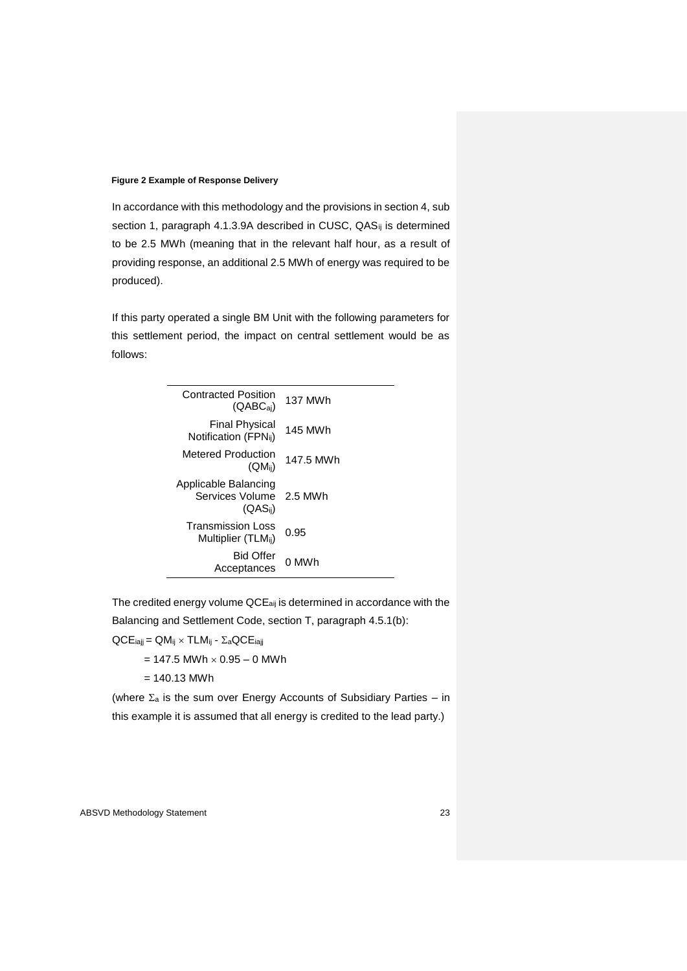#### **Figure 2 Example of Response Delivery**

In accordance with this methodology and the provisions in section 4, sub section 1, paragraph 4.1.3.9A described in CUSC, QAS<sub>ij</sub> is determined to be 2.5 MWh (meaning that in the relevant half hour, as a result of providing response, an additional 2.5 MWh of energy was required to be produced).

If this party operated a single BM Unit with the following parameters for this settlement period, the impact on central settlement would be as follows:

| Contracted Position<br>$(QABC_{ai})$                            | 137 MWh   |
|-----------------------------------------------------------------|-----------|
| <b>Final Physical</b><br>Notification (FPN <sub>ii</sub> )      | 145 MWh   |
| Metered Production<br>$(QM_{ii})$                               | 147.5 MWh |
| Applicable Balancing<br>Services Volume<br>(QAS <sub>ii</sub> ) | 2.5 MWh   |
| <b>Transmission Loss</b><br>Multiplier (TLM <sub>ii</sub> )     | 0.95      |
| <b>Bid Offer</b><br>Acceptances                                 | 0 MWh     |

The credited energy volume QCEaij is determined in accordance with the Balancing and Settlement Code, section T, paragraph 4.5.1(b):

 $QCE<sub>iaji</sub> = QM<sub>ij</sub> × TLM<sub>ij</sub> -  $\Sigma$ <sub>a</sub>QCE<sub>iaji</sub>$ 

 $= 147.5$  MWh  $\times$  0.95 – 0 MWh

 $= 140.13$  MWh

(where  $\Sigma_a$  is the sum over Energy Accounts of Subsidiary Parties – in this example it is assumed that all energy is credited to the lead party.)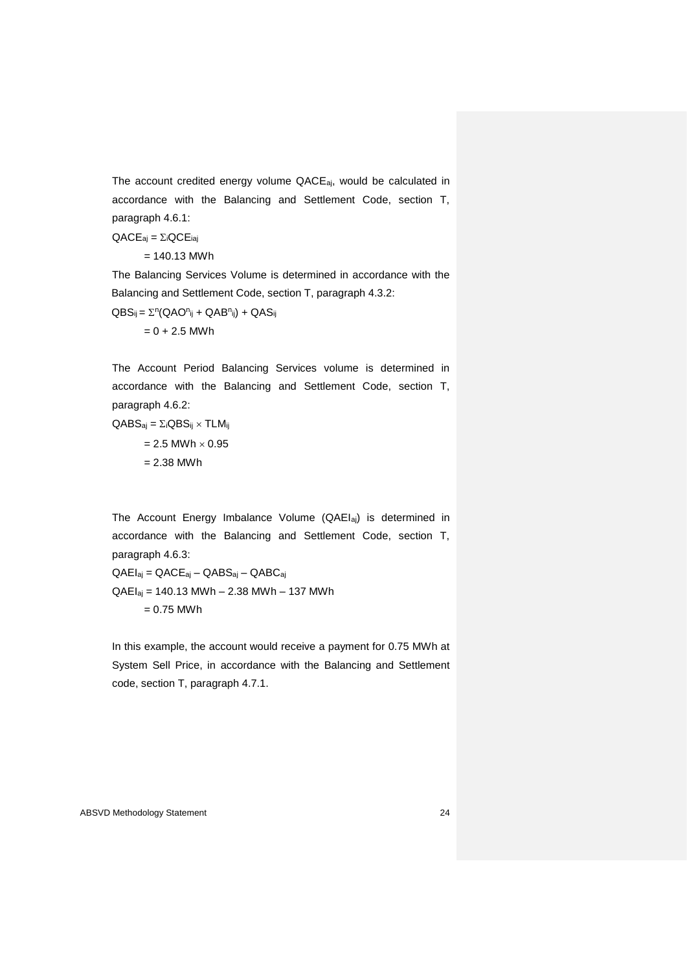The account credited energy volume QACEaj, would be calculated in accordance with the Balancing and Settlement Code, section T, paragraph 4.6.1:

 $QACE_{aj} = \Sigma_iQCE_{iaj}$ 

 $= 140.13$  MWh

The Balancing Services Volume is determined in accordance with the Balancing and Settlement Code, section T, paragraph 4.3.2:

 $\text{QBS}_{ij} = \Sigma^{n}(\text{QAO}^{n}_{ij} + \text{QAB}^{n}_{ij}) + \text{QAS}_{ij}$ 

 $= 0 + 2.5$  MWh

The Account Period Balancing Services volume is determined in accordance with the Balancing and Settlement Code, section T, paragraph 4.6.2:

 $QABS_{ai} = \Sigma_iQBS_{ii} \times TLM_{ii}$  $= 2.5$  MWh  $\times$  0.95  $= 2.38$  MWh

The Account Energy Imbalance Volume (QAEIaj) is determined in accordance with the Balancing and Settlement Code, section T, paragraph 4.6.3:

QAEIaj = QACEaj – QABSaj – QABCaj QAEIaj = 140.13 MWh – 2.38 MWh – 137 MWh  $= 0.75$  MWh

In this example, the account would receive a payment for 0.75 MWh at System Sell Price, in accordance with the Balancing and Settlement code, section T, paragraph 4.7.1.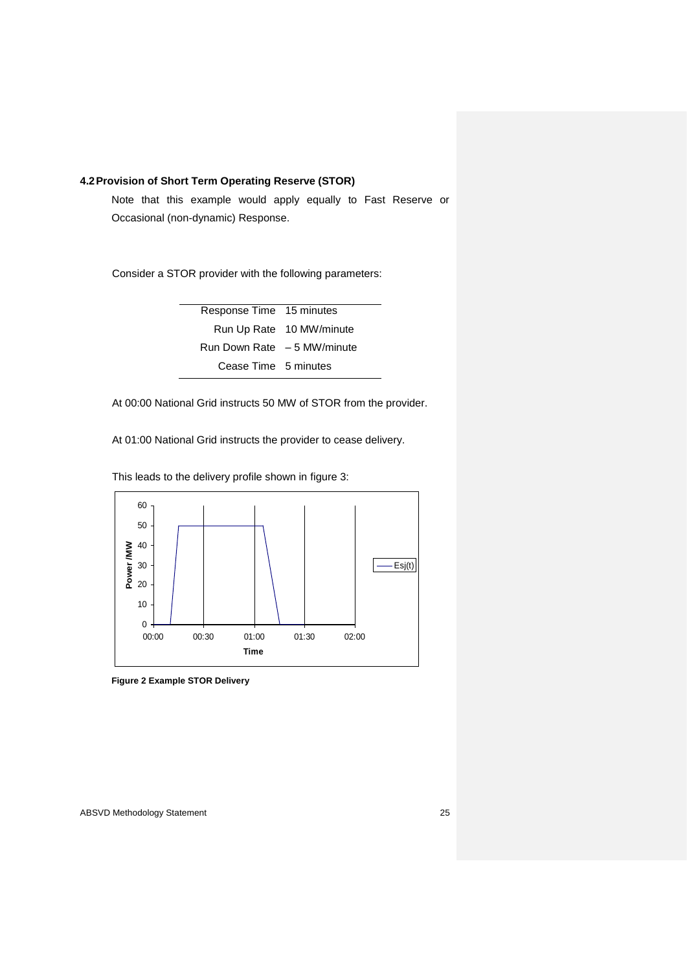#### **4.2Provision of Short Term Operating Reserve (STOR)**

Note that this example would apply equally to Fast Reserve or Occasional (non-dynamic) Response.

Consider a STOR provider with the following parameters:

| Response Time 15 minutes     |                          |
|------------------------------|--------------------------|
|                              | Run Up Rate 10 MW/minute |
| Run Down Rate $-5$ MW/minute |                          |
| Cease Time 5 minutes         |                          |
|                              |                          |

At 00:00 National Grid instructs 50 MW of STOR from the provider.

At 01:00 National Grid instructs the provider to cease delivery.

This leads to the delivery profile shown in figure 3:



**Figure 2 Example STOR Delivery**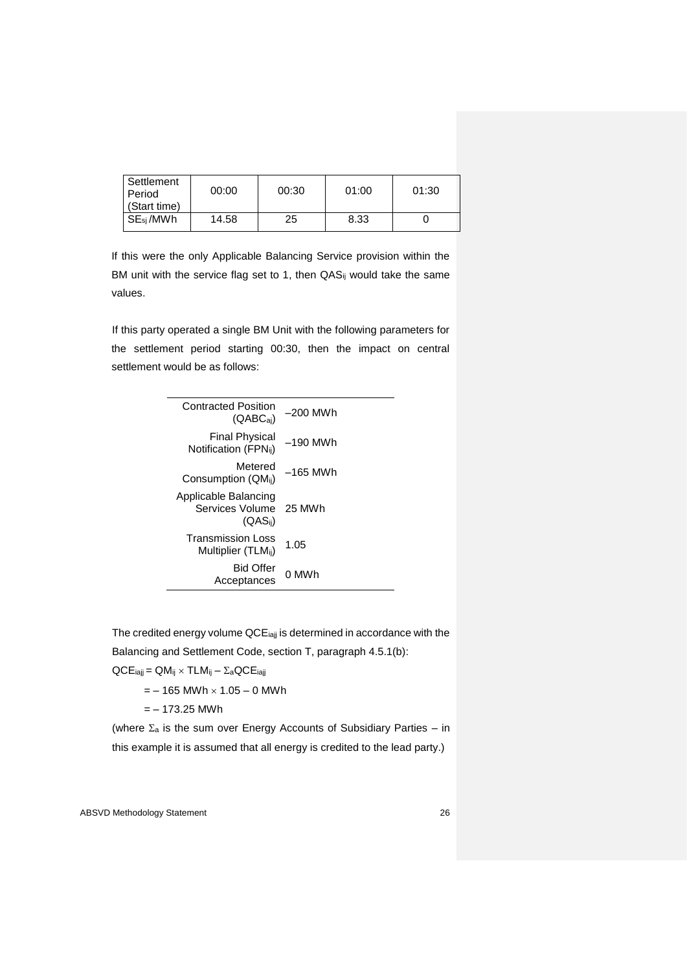| Settlement<br>Period<br>(Start time) | 00:00 | 00:30 | 01:00 | 01:30 |
|--------------------------------------|-------|-------|-------|-------|
| SE <sub>si</sub> /MWh                | 14.58 | 25    | 8.33  |       |

If this were the only Applicable Balancing Service provision within the BM unit with the service flag set to 1, then QAS<sub>ij</sub> would take the same values.

If this party operated a single BM Unit with the following parameters for the settlement period starting 00:30, then the impact on central settlement would be as follows:

| <b>Contracted Position</b><br>$(QABC_{ai})$                 | –200 MWh |
|-------------------------------------------------------------|----------|
| <b>Final Physical</b><br>Notification (FPN <sub>ii</sub> )  | –190 MWh |
| Metered<br>Consumption (QM <sub>ii</sub> )                  | –165 MWh |
| Applicable Balancing<br>Services Volume<br>$(QAS_{ii})$     | 25 MWh   |
| <b>Transmission Loss</b><br>Multiplier (TLM <sub>ij</sub> ) | 1.05     |
| <b>Bid Offer</b><br>Acceptances                             | 0 MWh    |
|                                                             |          |

The credited energy volume QCEiajj is determined in accordance with the Balancing and Settlement Code, section T, paragraph 4.5.1(b):

 $QCE_{\text{iajj}} = QM_{ij} \times TLM_{ij} - \Sigma_a QCE_{\text{iajj}}$ 

 $=$  – 165 MWh  $\times$  1.05 – 0 MWh

 $=- 173.25$  MWh

(where  $\Sigma_a$  is the sum over Energy Accounts of Subsidiary Parties – in this example it is assumed that all energy is credited to the lead party.)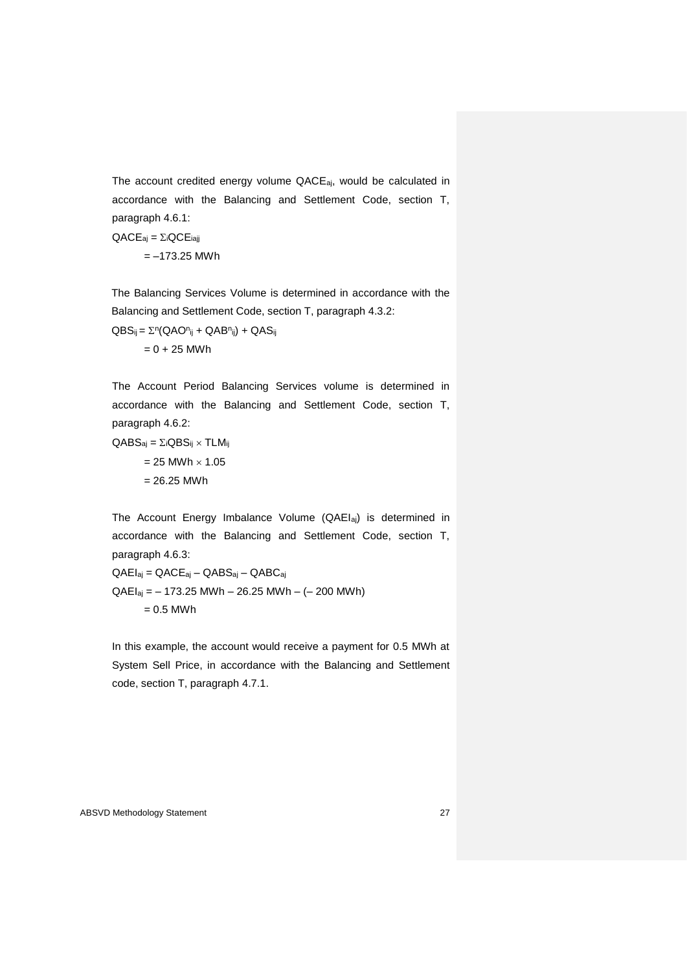The account credited energy volume QACEaj, would be calculated in accordance with the Balancing and Settlement Code, section T, paragraph 4.6.1:

 $QACE_{aj} = \Sigma iQCE_{iajj}$  $=-173.25$  MWh

The Balancing Services Volume is determined in accordance with the Balancing and Settlement Code, section T, paragraph 4.3.2:

 $\text{QBS}_{ij} = \sum^n (\text{QAO}^n_{ij} + \text{QAB}^n_{ij}) + \text{QAS}_{ij}$  $= 0 + 25$  MWh

The Account Period Balancing Services volume is determined in accordance with the Balancing and Settlement Code, section T, paragraph 4.6.2:

 $QABS_{aj} = \Sigma_iQBS_{ij} \times TLM_{ij}$ 

 $= 25$  MWh  $\times$  1.05

 $= 26.25$  MWh

The Account Energy Imbalance Volume (QAEIaj) is determined in accordance with the Balancing and Settlement Code, section T, paragraph 4.6.3:

QAEIaj = QACEaj – QABSaj – QABCaj  $QAEI_{ai} = -173.25$  MWh – 26.25 MWh – (– 200 MWh)  $= 0.5$  MWh

In this example, the account would receive a payment for 0.5 MWh at System Sell Price, in accordance with the Balancing and Settlement code, section T, paragraph 4.7.1.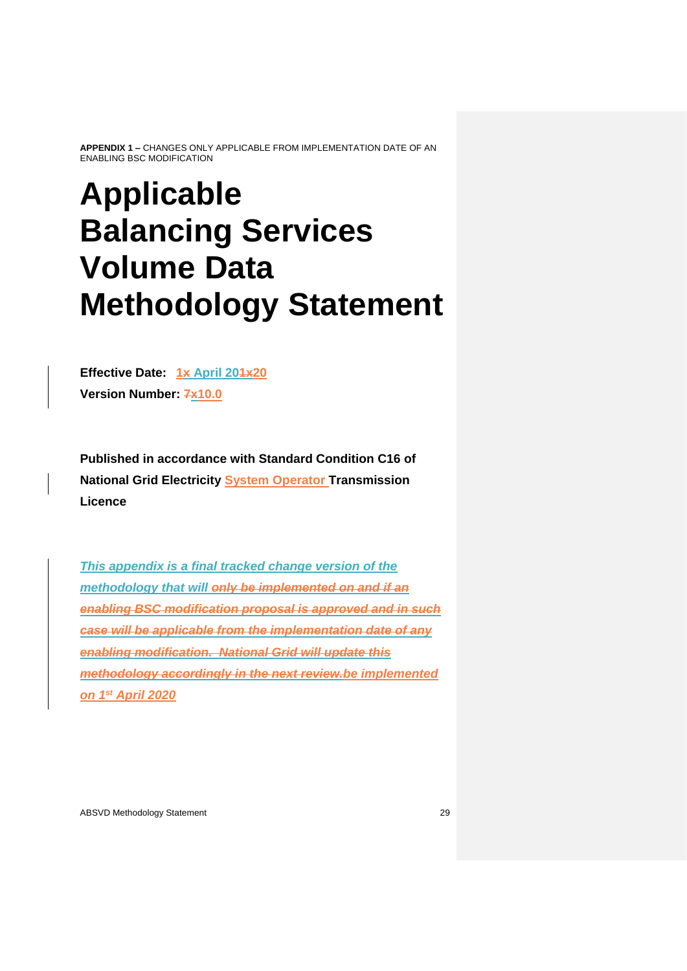# **Applicable Balancing Services Volume Data Methodology Statement**

**Effective Date: 1x April 201x20 Version Number: 7x10.0**

**Published in accordance with Standard Condition C16 of National Grid Electricity System Operator Transmission Licence**

*This appendix is a final tracked change version of the methodology that will only be implemented on and if an enabling BSC modification proposal is approved and in such case will be applicable from the implementation date of any enabling modification. National Grid will update this methodology accordingly in the next review.be implemented on 1st April 2020*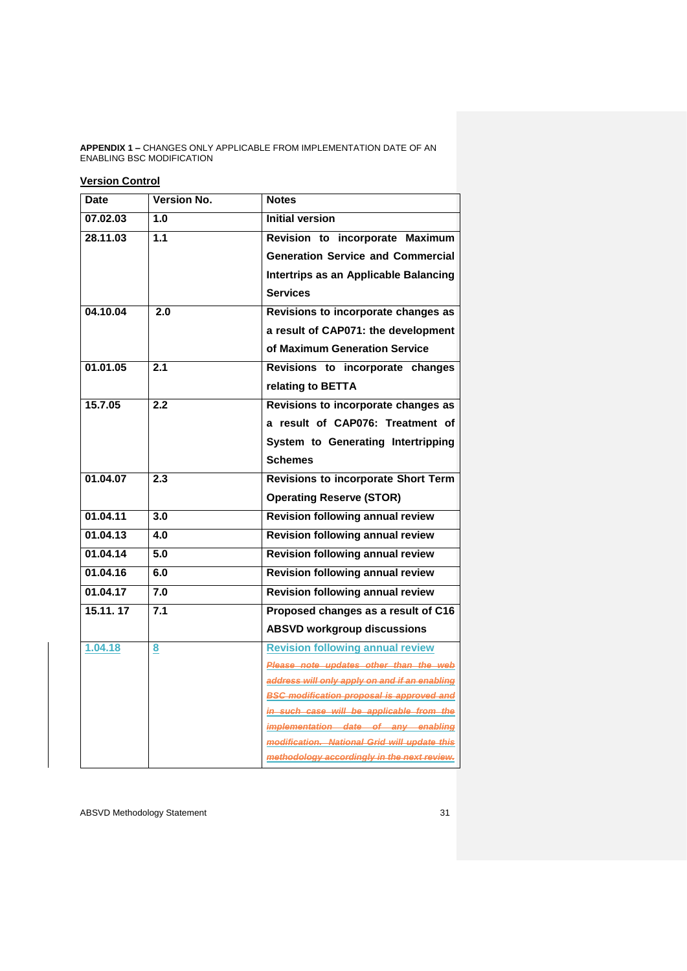#### **Version Control**

| 1.0 | <b>Initial version</b>                                                                       |
|-----|----------------------------------------------------------------------------------------------|
| 1.1 | Revision to incorporate Maximum                                                              |
|     | <b>Generation Service and Commercial</b>                                                     |
|     | Intertrips as an Applicable Balancing                                                        |
|     | <b>Services</b>                                                                              |
| 2.0 | Revisions to incorporate changes as                                                          |
|     | a result of CAP071: the development                                                          |
|     | of Maximum Generation Service                                                                |
| 2.1 | Revisions to incorporate changes                                                             |
|     | relating to BETTA                                                                            |
| 2.2 | Revisions to incorporate changes as                                                          |
|     | a result of CAP076: Treatment of                                                             |
|     | System to Generating Intertripping                                                           |
|     | <b>Schemes</b>                                                                               |
| 2.3 | <b>Revisions to incorporate Short Term</b>                                                   |
|     | <b>Operating Reserve (STOR)</b>                                                              |
| 3.0 | <b>Revision following annual review</b>                                                      |
| 4.0 | <b>Revision following annual review</b>                                                      |
| 5.0 | <b>Revision following annual review</b>                                                      |
| 6.0 | <b>Revision following annual review</b>                                                      |
| 7.0 | <b>Revision following annual review</b>                                                      |
| 7.1 | Proposed changes as a result of C16                                                          |
|     | <b>ABSVD workgroup discussions</b>                                                           |
| 8   | <b>Revision following annual review</b>                                                      |
|     | Please note updates other than the web                                                       |
|     | address will only apply on and if an enabling                                                |
|     | <b>BSC modification proposal is approved and</b><br>in such case will be applicable from the |
|     | implementation date of any enabling                                                          |
|     | modification. National Grid will update this                                                 |
|     | methodology accordingly in the next review.                                                  |
|     |                                                                                              |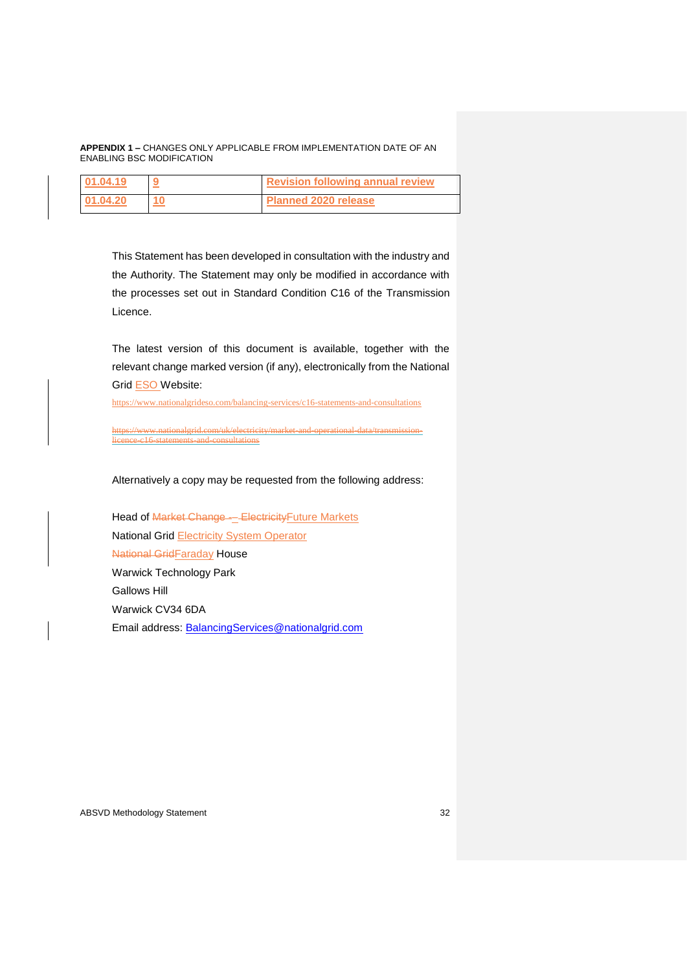| 01.04.19 | <b>Revision following annual review</b> |
|----------|-----------------------------------------|
| 01.04.20 | <b>Planned 2020 release</b>             |

This Statement has been developed in consultation with the industry and the Authority. The Statement may only be modified in accordance with the processes set out in Standard Condition C16 of the Transmission Licence.

The latest version of this document is available, together with the relevant change marked version (if any), electronically from the National Grid ESO Website:

https://www.nationalgrideso.com/balancing-services/c16-statements-and-consultations

https://www.nationalgrid.com/uk/electricity/market-and-operational-data/transmissione16-statements-and-consultations-

#### Alternatively a copy may be requested from the following address:

Head of Market Change -- Electricity Future Markets National Grid Electricity System Operator National GridFaraday House Warwick Technology Park Gallows Hill Warwick CV34 6DA Email address: [BalancingServices@nationalgrid.com](mailto:BalancingServices@nationalgrid.com)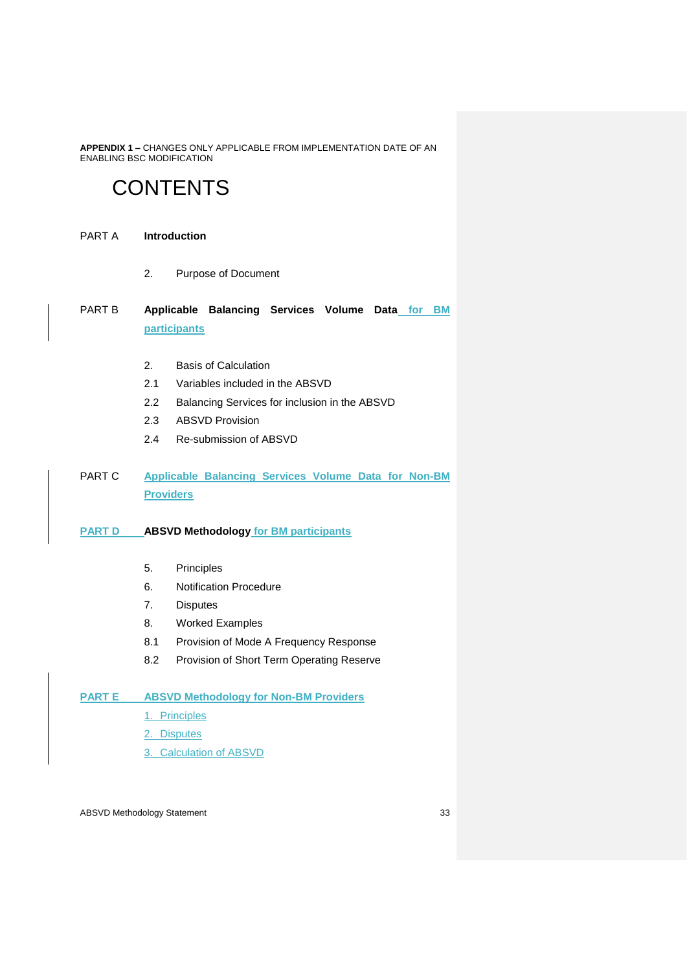## **CONTENTS**

#### PART A **Introduction**

- 2. Purpose of Document
- PART B **Applicable Balancing Services Volume Data for BM participants**
	- 2. Basis of Calculation
	- 2.1 Variables included in the ABSVD
	- 2.2 Balancing Services for inclusion in the ABSVD
	- 2.3 ABSVD Provision
	- 2.4 Re-submission of ABSVD
- PART C **Applicable Balancing Services Volume Data for Non-BM Providers**

#### **PART D ABSVD Methodology for BM participants**

- 5. Principles
- 6. Notification Procedure
- 7. Disputes
- 8. Worked Examples
- 8.1 Provision of Mode A Frequency Response
- 8.2 Provision of Short Term Operating Reserve

#### **PART E ABSVD Methodology for Non-BM Providers**

- 1. Principles
- 2. Disputes
- 3. Calculation of ABSVD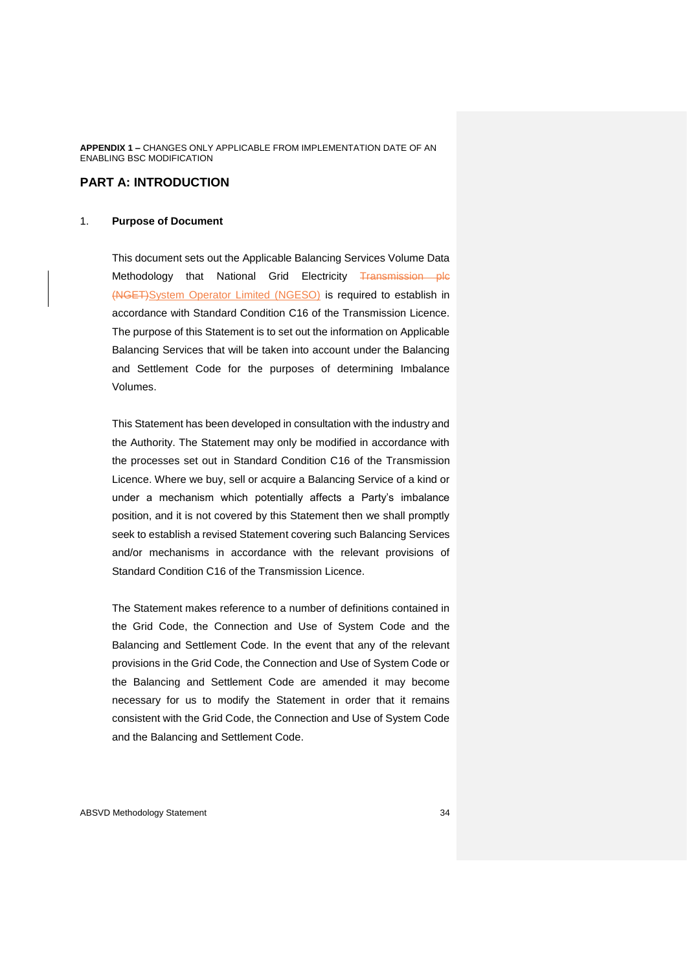#### **PART A: INTRODUCTION**

#### 1. **Purpose of Document**

This document sets out the Applicable Balancing Services Volume Data Methodology that National Grid Electricity Transmission ple (NGET)System Operator Limited (NGESO) is required to establish in accordance with Standard Condition C16 of the Transmission Licence. The purpose of this Statement is to set out the information on Applicable Balancing Services that will be taken into account under the Balancing and Settlement Code for the purposes of determining Imbalance Volumes.

This Statement has been developed in consultation with the industry and the Authority. The Statement may only be modified in accordance with the processes set out in Standard Condition C16 of the Transmission Licence. Where we buy, sell or acquire a Balancing Service of a kind or under a mechanism which potentially affects a Party's imbalance position, and it is not covered by this Statement then we shall promptly seek to establish a revised Statement covering such Balancing Services and/or mechanisms in accordance with the relevant provisions of Standard Condition C16 of the Transmission Licence.

The Statement makes reference to a number of definitions contained in the Grid Code, the Connection and Use of System Code and the Balancing and Settlement Code. In the event that any of the relevant provisions in the Grid Code, the Connection and Use of System Code or the Balancing and Settlement Code are amended it may become necessary for us to modify the Statement in order that it remains consistent with the Grid Code, the Connection and Use of System Code and the Balancing and Settlement Code.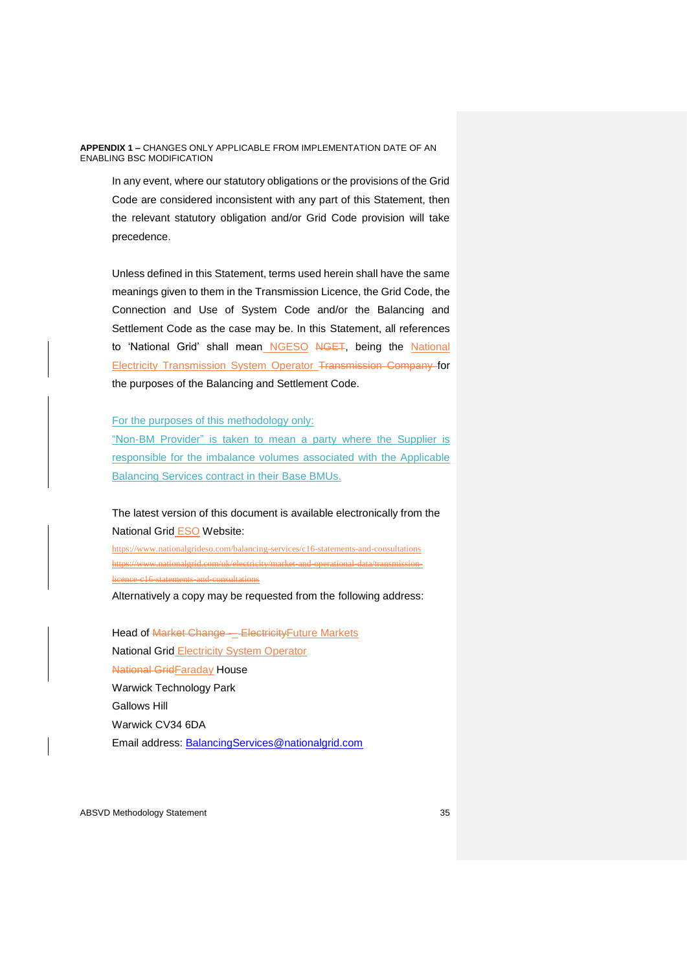In any event, where our statutory obligations or the provisions of the Grid Code are considered inconsistent with any part of this Statement, then the relevant statutory obligation and/or Grid Code provision will take precedence.

Unless defined in this Statement, terms used herein shall have the same meanings given to them in the Transmission Licence, the Grid Code, the Connection and Use of System Code and/or the Balancing and Settlement Code as the case may be. In this Statement, all references to 'National Grid' shall mean NGESO NGET, being the National Electricity Transmission System Operator Transmission Company for the purposes of the Balancing and Settlement Code.

For the purposes of this methodology only:

"Non-BM Provider" is taken to mean a party where the Supplier is responsible for the imbalance volumes associated with the Applicable **Balancing Services contract in their Base BMUs.** 

The latest version of this document is available electronically from the National Grid ESO Website:

https://www.nationalgrideso.com/balancing-services/c16-statements-and-consultations  $t$ //www.nationalgrid.com/uk/electricity/market-and-operational-data/transmissionlicence-c16-statements-and-consultations

Alternatively a copy may be requested from the following address:

Head of Market Change -- Electricity Future Markets National Grid Electricity System Operator National GridFaraday House Warwick Technology Park Gallows Hill Warwick CV34 6DA Email address: [BalancingServices@nationalgrid.com](mailto:BalancingServices@nationalgrid.com)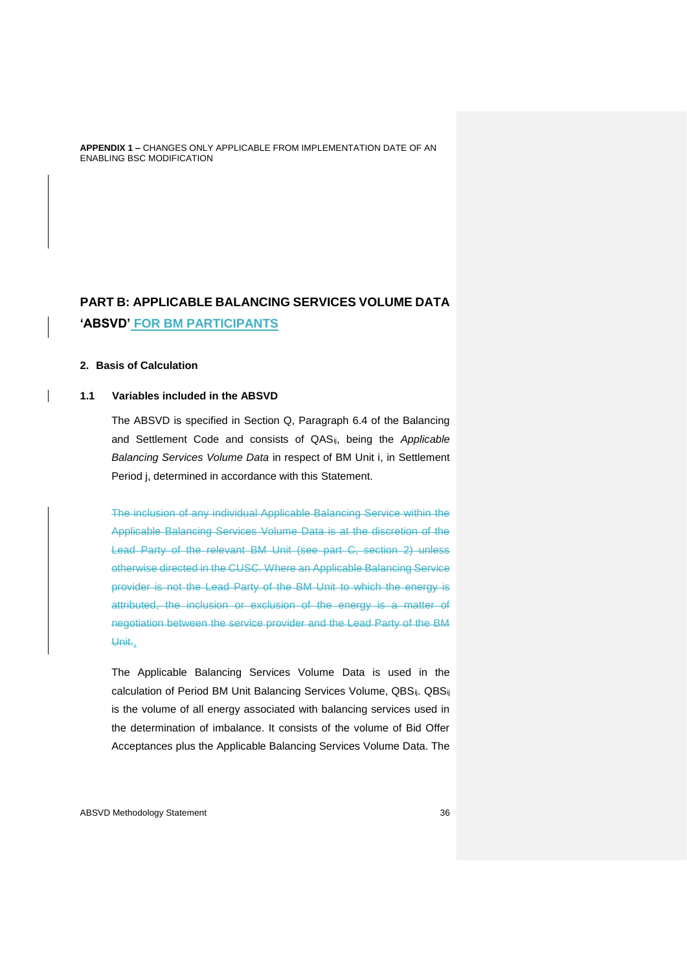## **PART B: APPLICABLE BALANCING SERVICES VOLUME DATA 'ABSVD' FOR BM PARTICIPANTS**

#### **2. Basis of Calculation**

#### **1.1 Variables included in the ABSVD**

The ABSVD is specified in Section Q, Paragraph 6.4 of the Balancing and Settlement Code and consists of QASij, being the *Applicable Balancing Services Volume Data* in respect of BM Unit i, in Settlement Period j, determined in accordance with this Statement.

The inclusion of any individual Applicable Balancing Service within the Applicable Balancing Services Volume Data is at the discretion of the Lead Party of the relevant BM Unit (see part C, section 2) unless otherwise directed in the CUSC. Where an Applicable Balancing Service provider is not the Lead Party of the BM Unit to which the energy is attributed, the inclusion or exclusion of the energy is a matter of negotiation between the service provider and the Lead Party of the BM Unit.,

The Applicable Balancing Services Volume Data is used in the calculation of Period BM Unit Balancing Services Volume, QBSij. QBSij is the volume of all energy associated with balancing services used in the determination of imbalance. It consists of the volume of Bid Offer Acceptances plus the Applicable Balancing Services Volume Data. The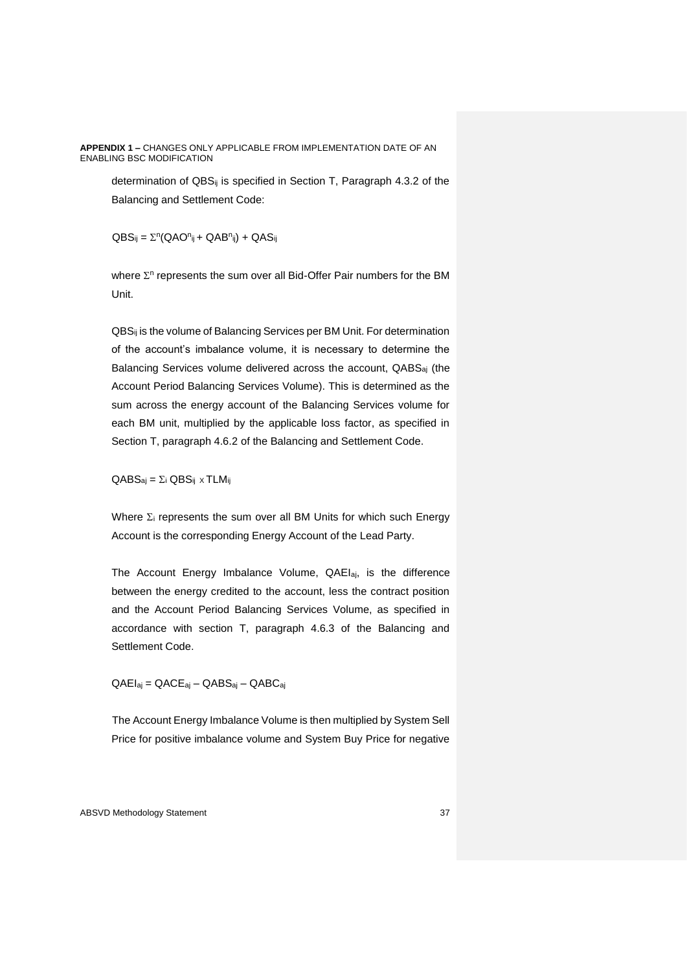determination of QBS<sub>ij</sub> is specified in Section T, Paragraph 4.3.2 of the Balancing and Settlement Code:

 $\text{QBS}_{ij} = \sum^n (\text{QAO}^n_{ij} + \text{QAB}^n_{ij}) + \text{QAS}_{ij}$ 

where  $\Sigma$ <sup>n</sup> represents the sum over all Bid-Offer Pair numbers for the BM Unit.

QBS<sub>ij</sub> is the volume of Balancing Services per BM Unit. For determination of the account's imbalance volume, it is necessary to determine the Balancing Services volume delivered across the account, QABSaj (the Account Period Balancing Services Volume). This is determined as the sum across the energy account of the Balancing Services volume for each BM unit, multiplied by the applicable loss factor, as specified in Section T, paragraph 4.6.2 of the Balancing and Settlement Code.

 $QABS_{aj} = \sum_{i} QBS_{ij} \times TLM_{ij}$ 

Where  $\Sigma_i$  represents the sum over all BM Units for which such Energy Account is the corresponding Energy Account of the Lead Party.

The Account Energy Imbalance Volume, QAEIaj, is the difference between the energy credited to the account, less the contract position and the Account Period Balancing Services Volume, as specified in accordance with section T, paragraph 4.6.3 of the Balancing and Settlement Code.

QAEIaj = QACEaj – QABSaj – QABCaj

The Account Energy Imbalance Volume is then multiplied by System Sell Price for positive imbalance volume and System Buy Price for negative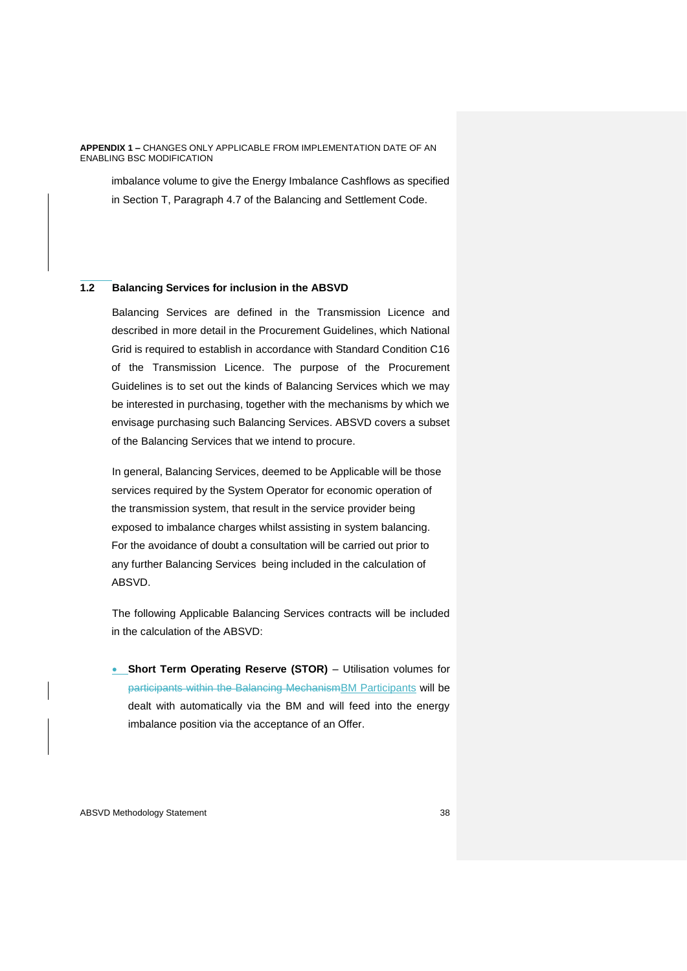imbalance volume to give the Energy Imbalance Cashflows as specified in Section T, Paragraph 4.7 of the Balancing and Settlement Code.

#### **1.2 Balancing Services for inclusion in the ABSVD**

Balancing Services are defined in the Transmission Licence and described in more detail in the Procurement Guidelines, which National Grid is required to establish in accordance with Standard Condition C16 of the Transmission Licence. The purpose of the Procurement Guidelines is to set out the kinds of Balancing Services which we may be interested in purchasing, together with the mechanisms by which we envisage purchasing such Balancing Services. ABSVD covers a subset of the Balancing Services that we intend to procure.

In general, Balancing Services, deemed to be Applicable will be those services required by the System Operator for economic operation of the transmission system, that result in the service provider being exposed to imbalance charges whilst assisting in system balancing. For the avoidance of doubt a consultation will be carried out prior to any further Balancing Services being included in the calculation of ABSVD.

The following Applicable Balancing Services contracts will be included in the calculation of the ABSVD:

• **Short Term Operating Reserve (STOR)** – Utilisation volumes for participants within the Balancing MechanismBM Participants will be dealt with automatically via the BM and will feed into the energy imbalance position via the acceptance of an Offer.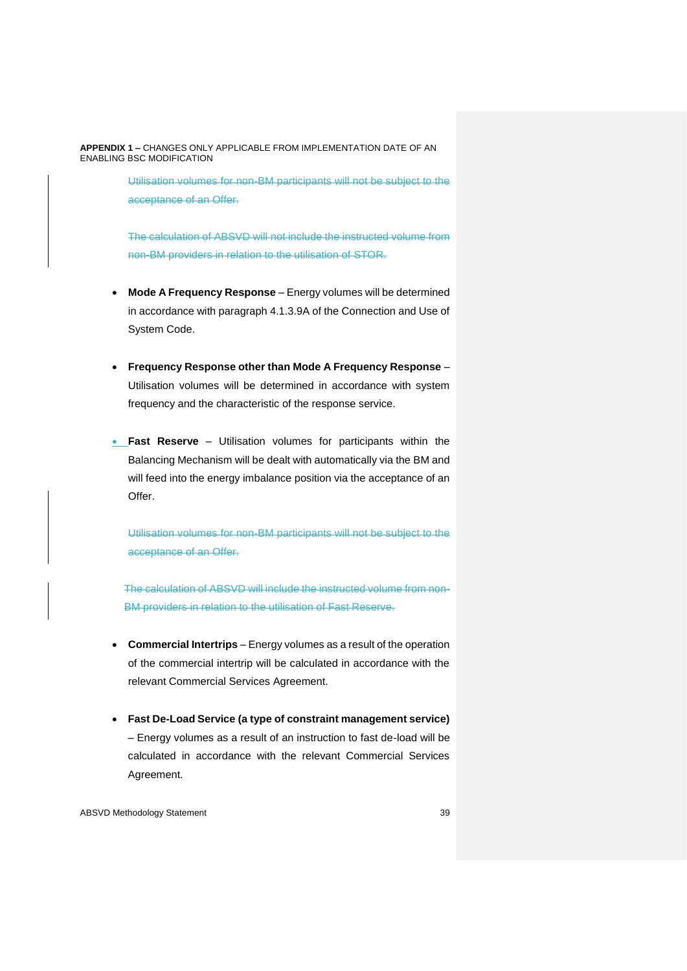> Utilisation volumes for non-BM participants will not be subject to the acceptance of an Offer.

> The calculation of ABSVD will not include the instructed volume from non-BM providers in relation to the utilisation of STOR.

- **Mode A Frequency Response**  Energy volumes will be determined in accordance with paragraph 4.1.3.9A of the Connection and Use of System Code.
- **Frequency Response other than Mode A Frequency Response** Utilisation volumes will be determined in accordance with system frequency and the characteristic of the response service.
- **Fast Reserve** Utilisation volumes for participants within the Balancing Mechanism will be dealt with automatically via the BM and will feed into the energy imbalance position via the acceptance of an Offer.

Utilisation volumes for non-BM participants will not be subject to the acceptance of an Offer.

The calculation of ABSVD will include the instructed volume from non-BM providers in relation to the utilisation of Fast Reserve.

- **Commercial Intertrips** Energy volumes as a result of the operation of the commercial intertrip will be calculated in accordance with the relevant Commercial Services Agreement.
- **Fast De-Load Service (a type of constraint management service)** – Energy volumes as a result of an instruction to fast de-load will be calculated in accordance with the relevant Commercial Services Agreement.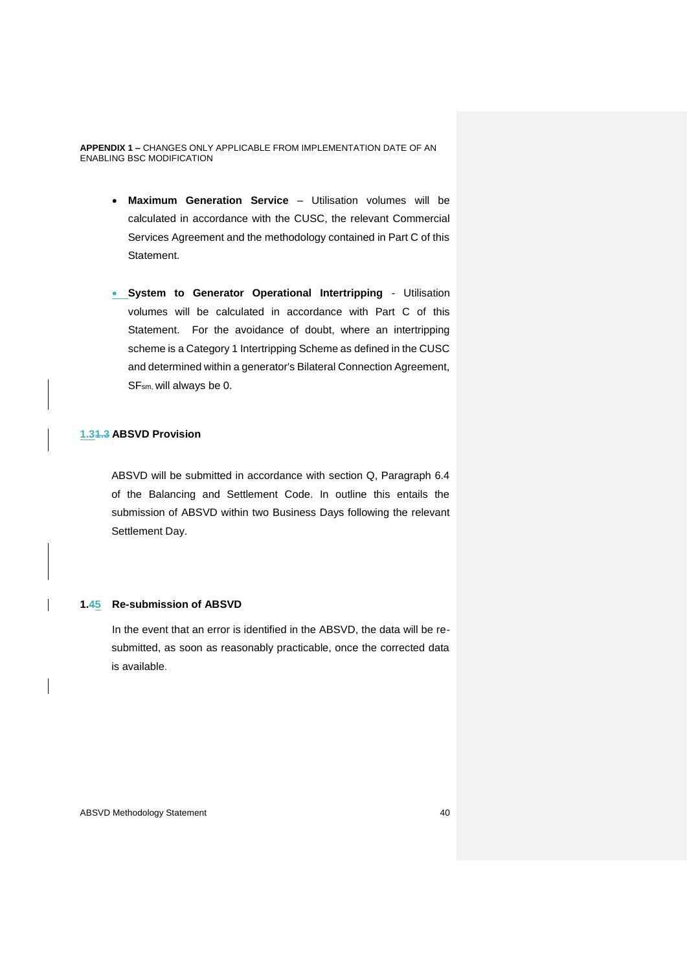- **Maximum Generation Service** Utilisation volumes will be calculated in accordance with the CUSC, the relevant Commercial Services Agreement and the methodology contained in Part C of this Statement.
- **System to Generator Operational Intertripping** Utilisation volumes will be calculated in accordance with Part C of this Statement. For the avoidance of doubt, where an intertripping scheme is a Category 1 Intertripping Scheme as defined in the CUSC and determined within a generator's Bilateral Connection Agreement, SFsm, will always be 0.

#### **1.31.3 ABSVD Provision**

ABSVD will be submitted in accordance with section Q, Paragraph 6.4 of the Balancing and Settlement Code. In outline this entails the submission of ABSVD within two Business Days following the relevant Settlement Day.

#### **1.45 Re-submission of ABSVD**

In the event that an error is identified in the ABSVD, the data will be resubmitted, as soon as reasonably practicable, once the corrected data is available.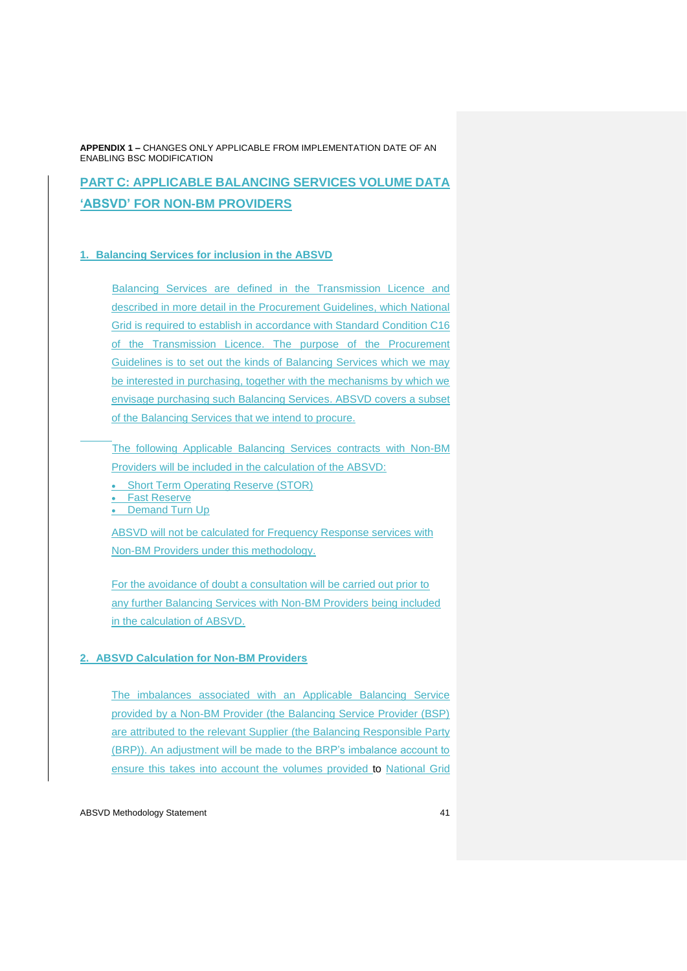## **PART C: APPLICABLE BALANCING SERVICES VOLUME DATA 'ABSVD' FOR NON-BM PROVIDERS**

#### **1. Balancing Services for inclusion in the ABSVD**

Balancing Services are defined in the Transmission Licence and described in more detail in the Procurement Guidelines, which National Grid is required to establish in accordance with Standard Condition C16 of the Transmission Licence. The purpose of the Procurement Guidelines is to set out the kinds of Balancing Services which we may be interested in purchasing, together with the mechanisms by which we envisage purchasing such Balancing Services. ABSVD covers a subset of the Balancing Services that we intend to procure.

The following Applicable Balancing Services contracts with Non-BM Providers will be included in the calculation of the ABSVD:

• Short Term Operating Reserve (STOR)

**Fast Reserve** 

**Demand Turn Up** 

ABSVD will not be calculated for Frequency Response services with Non-BM Providers under this methodology.

For the avoidance of doubt a consultation will be carried out prior to any further Balancing Services with Non-BM Providers being included in the calculation of ABSVD.

#### **2. ABSVD Calculation for Non-BM Providers**

The imbalances associated with an Applicable Balancing Service provided by a Non-BM Provider (the Balancing Service Provider (BSP) are attributed to the relevant Supplier (the Balancing Responsible Party (BRP)). An adjustment will be made to the BRP's imbalance account to ensure this takes into account the volumes provided to National Grid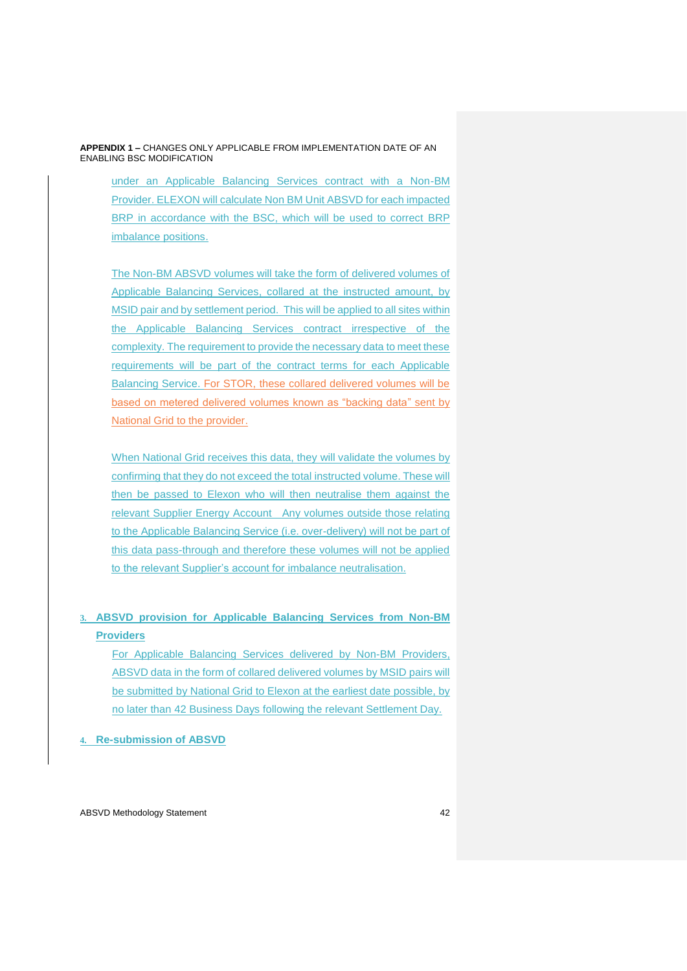under an Applicable Balancing Services contract with a Non-BM Provider. ELEXON will calculate Non BM Unit ABSVD for each impacted BRP in accordance with the BSC, which will be used to correct BRP imbalance positions.

The Non-BM ABSVD volumes will take the form of delivered volumes of Applicable Balancing Services, collared at the instructed amount, by MSID pair and by settlement period. This will be applied to all sites within the Applicable Balancing Services contract irrespective of the complexity. The requirement to provide the necessary data to meet these requirements will be part of the contract terms for each Applicable Balancing Service. For STOR, these collared delivered volumes will be based on metered delivered volumes known as "backing data" sent by National Grid to the provider.

When National Grid receives this data, they will validate the volumes by confirming that they do not exceed the total instructed volume. These will then be passed to Elexon who will then neutralise them against the relevant Supplier Energy Account Any volumes outside those relating to the Applicable Balancing Service (i.e. over-delivery) will not be part of this data pass-through and therefore these volumes will not be applied to the relevant Supplier's account for imbalance neutralisation.

### **3. ABSVD provision for Applicable Balancing Services from Non-BM Providers**

For Applicable Balancing Services delivered by Non-BM Providers, ABSVD data in the form of collared delivered volumes by MSID pairs will be submitted by National Grid to Elexon at the earliest date possible, by no later than 42 Business Days following the relevant Settlement Day.

**4. Re-submission of ABSVD**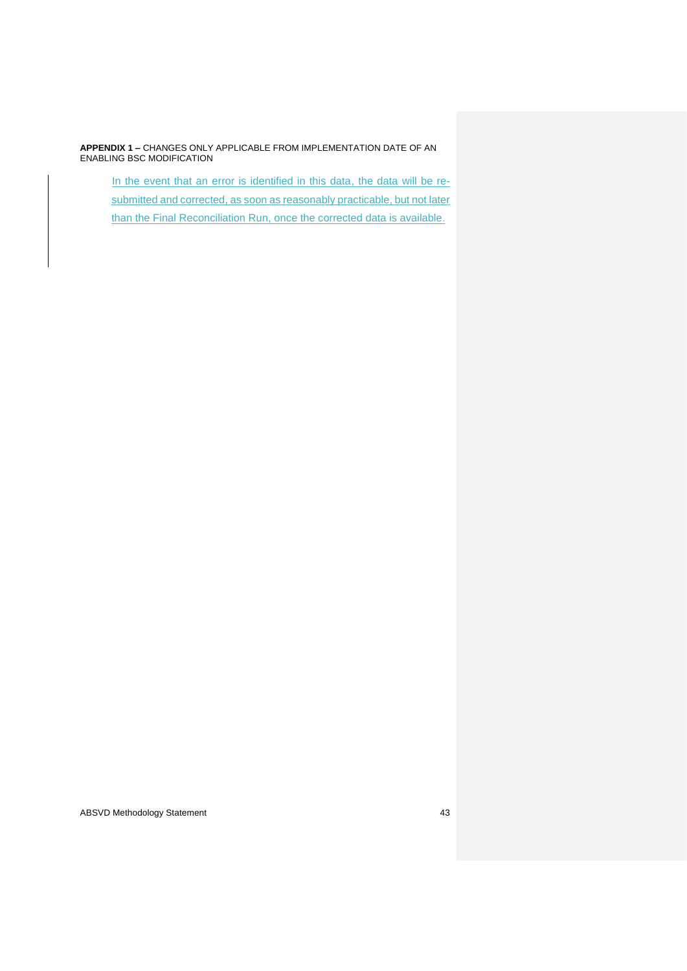In the event that an error is identified in this data, the data will be resubmitted and corrected, as soon as reasonably practicable, but not later than the Final Reconciliation Run, once the corrected data is available.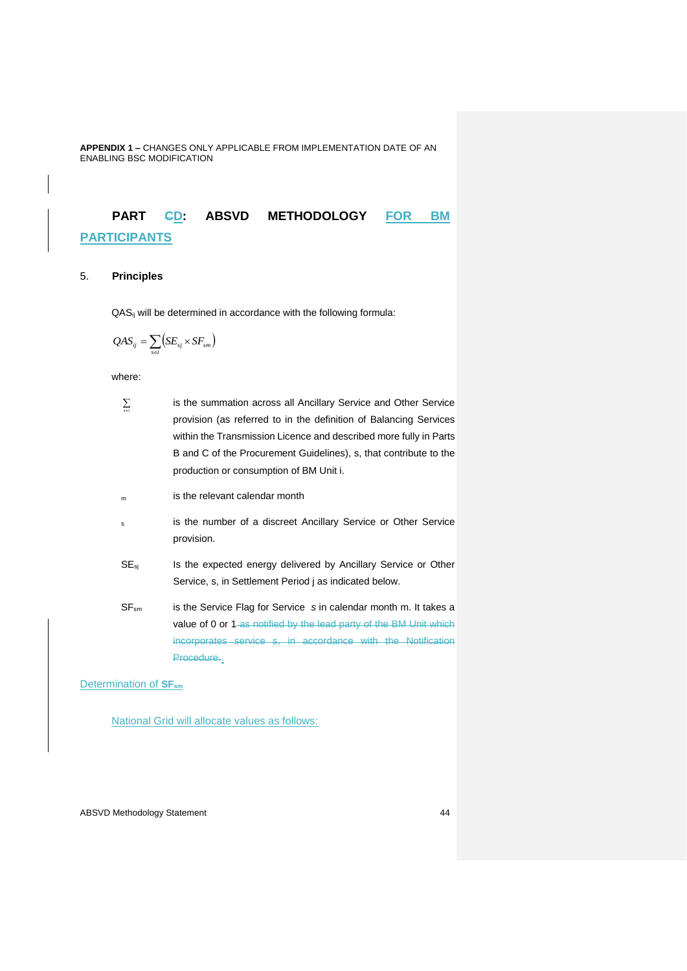## **PART CD: ABSVD METHODOLOGY FOR BM**

**PARTICIPANTS**

#### 5. **Principles**

QAS<sub>ij</sub> will be determined in accordance with the following formula:

$$
QAS_{ij} = \sum_{s \in i} (SE_{sj} \times SF_{sm})
$$

where:

- *si* is the summation across all Ancillary Service and Other Service provision (as referred to in the definition of Balancing Services within the Transmission Licence and described more fully in Parts B and C of the Procurement Guidelines), s, that contribute to the production or consumption of BM Unit i.
- m is the relevant calendar month
- is the number of a discreet Ancillary Service or Other Service provision.
- SE<sub>sj</sub> Is the expected energy delivered by Ancillary Service or Other Service, s, in Settlement Period j as indicated below.
- SFsm is the Service Flag for Service *s* in calendar month m. It takes a value of 0 or 1-as notified by the lead party of the BM Unit which incorporates service s, in accordance with the Notification Procedure.

Determination of **SFsm**

National Grid will allocate values as follows: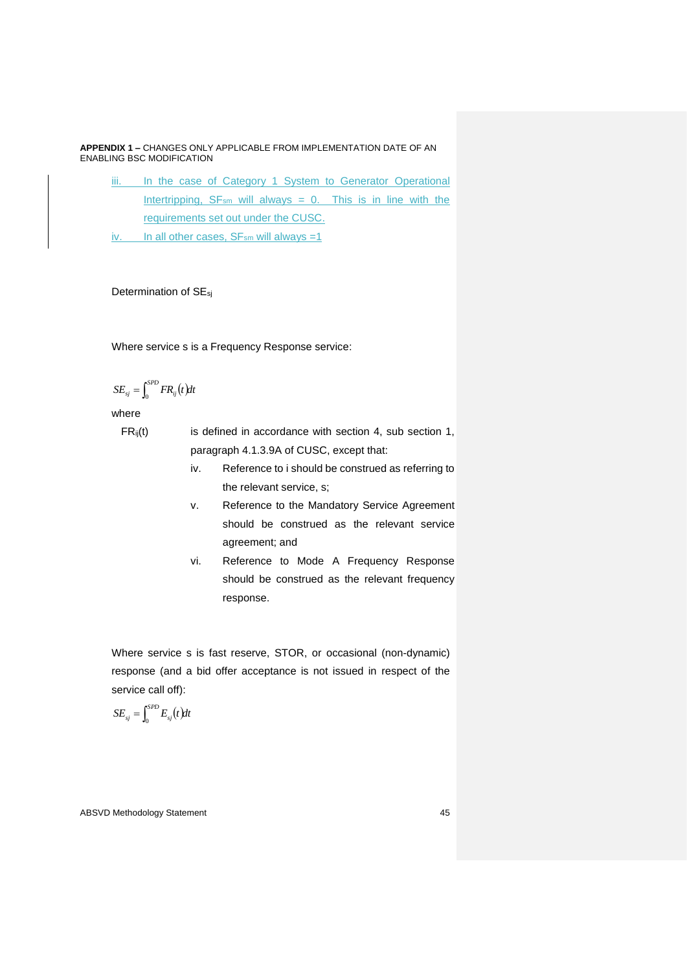- iii. In the case of Category 1 System to Generator Operational Intertripping,  $SF_{sm}$  will always = 0. This is in line with the requirements set out under the CUSC.
- iv. In all other cases,  $SF_{sm}$  will always =1

#### Determination of SEsj

Where service s is a Frequency Response service:

$$
SE_{sj} = \int_0^{SPD} FR_{ij}(t) dt
$$

where

- $FR_{ij}(t)$  is defined in accordance with section 4, sub section 1, paragraph 4.1.3.9A of CUSC, except that:
	- iv. Reference to i should be construed as referring to the relevant service, s;
	- v. Reference to the Mandatory Service Agreement should be construed as the relevant service agreement; and
	- vi. Reference to Mode A Frequency Response should be construed as the relevant frequency response.

Where service s is fast reserve, STOR, or occasional (non-dynamic) response (and a bid offer acceptance is not issued in respect of the service call off):

$$
SE_{sj} = \int_0^{SPD} E_{sj}(t) dt
$$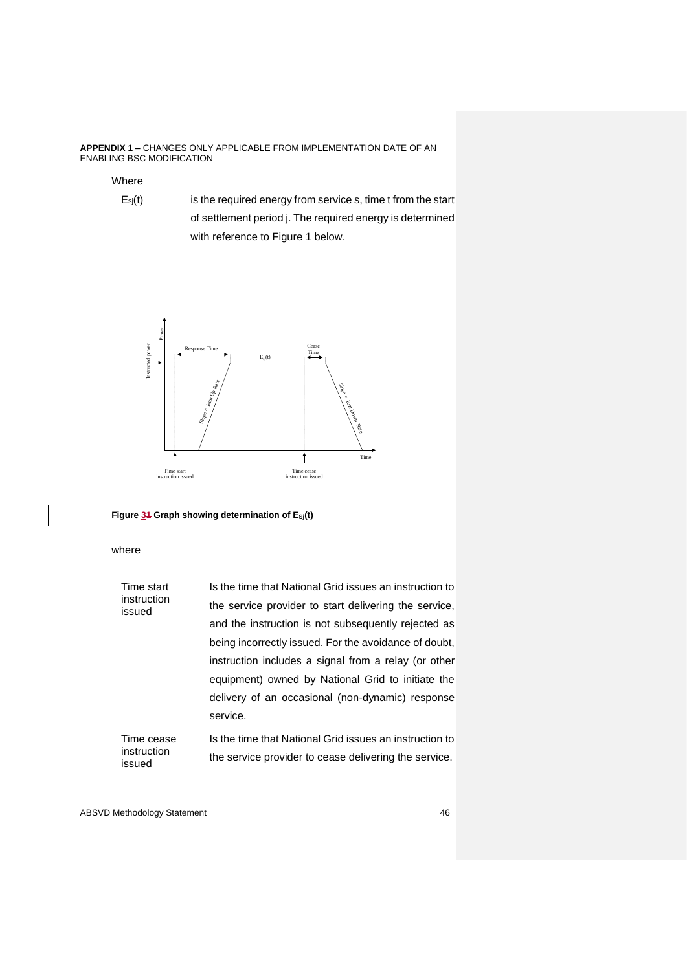Where

 $E_{si}(t)$  is the required energy from service s, time t from the start of settlement period j. The required energy is determined with reference to Figure 1 below.



**Figure 31 Graph showing determination of ESj(t)**

where

| Time start<br>instruction<br>issued | Is the time that National Grid issues an instruction to |  |  |  |  |
|-------------------------------------|---------------------------------------------------------|--|--|--|--|
|                                     | the service provider to start delivering the service.   |  |  |  |  |
|                                     | and the instruction is not subsequently rejected as     |  |  |  |  |
|                                     | being incorrectly issued. For the avoidance of doubt,   |  |  |  |  |
|                                     | instruction includes a signal from a relay (or other    |  |  |  |  |
|                                     | equipment) owned by National Grid to initiate the       |  |  |  |  |
|                                     | delivery of an occasional (non-dynamic) response        |  |  |  |  |
|                                     | service.                                                |  |  |  |  |
| Time cease                          | Is the time that National Grid issues an instruction to |  |  |  |  |
| instruction<br>issued               | the service provider to cease delivering the service.   |  |  |  |  |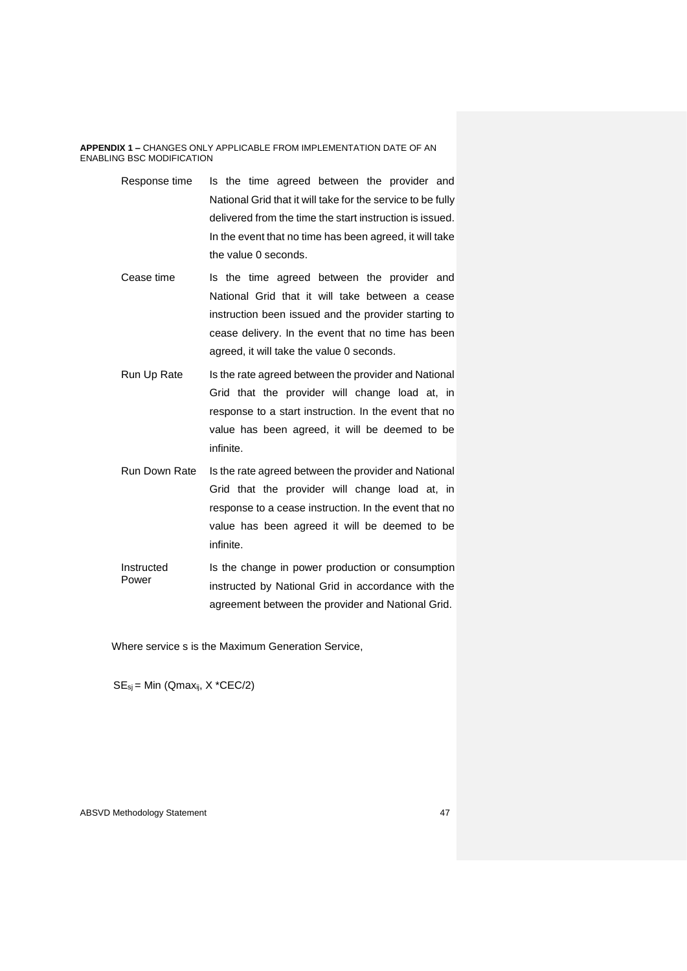| Response time Is the time agreed between the provider and |  |                      |  |                                                             |  |
|-----------------------------------------------------------|--|----------------------|--|-------------------------------------------------------------|--|
|                                                           |  |                      |  | National Grid that it will take for the service to be fully |  |
|                                                           |  |                      |  | delivered from the time the start instruction is issued.    |  |
|                                                           |  |                      |  | In the event that no time has been agreed, it will take     |  |
|                                                           |  | the value 0 seconds. |  |                                                             |  |

- Cease time Is the time agreed between the provider and National Grid that it will take between a cease instruction been issued and the provider starting to cease delivery. In the event that no time has been agreed, it will take the value 0 seconds.
- Run Up Rate Is the rate agreed between the provider and National Grid that the provider will change load at, in response to a start instruction. In the event that no value has been agreed, it will be deemed to be infinite.
- Run Down Rate Is the rate agreed between the provider and National Grid that the provider will change load at, in response to a cease instruction. In the event that no value has been agreed it will be deemed to be infinite.
- Instructed Power Is the change in power production or consumption instructed by National Grid in accordance with the agreement between the provider and National Grid.

Where service s is the Maximum Generation Service,

 $SE_{si}$  = Min (Qmax<sub>ii</sub>, X \*CEC/2)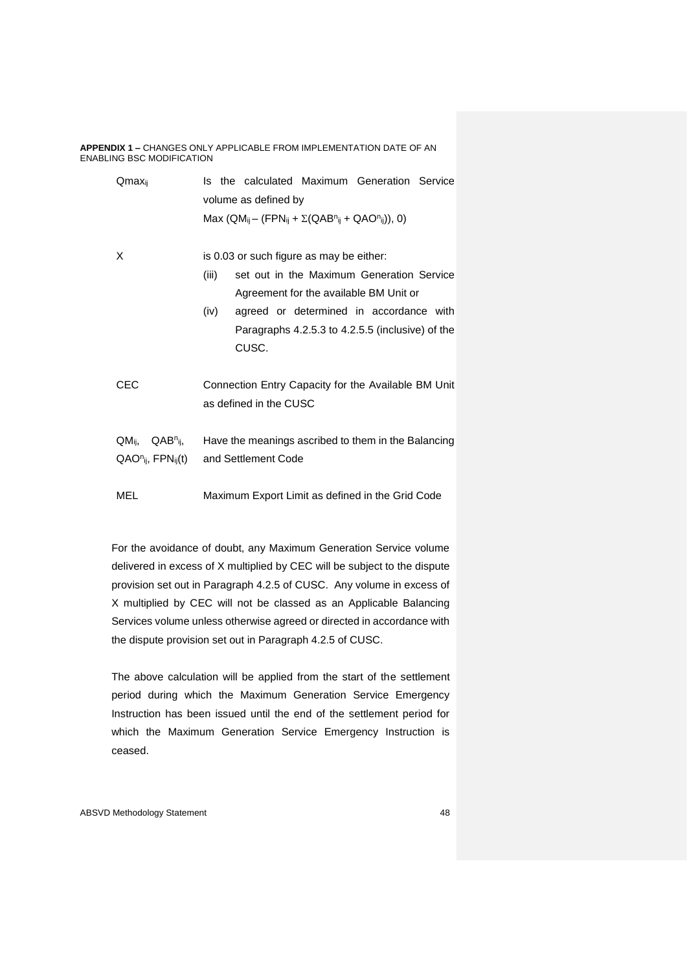| Qmax <sub>ii</sub>                                                           | Is the calculated Maximum Generation Service<br>volume as defined by                                                                                                                                                                                     |  |  |  |  |
|------------------------------------------------------------------------------|----------------------------------------------------------------------------------------------------------------------------------------------------------------------------------------------------------------------------------------------------------|--|--|--|--|
|                                                                              | Max (QM <sub>ij</sub> – (FPN <sub>ij</sub> + $\Sigma$ (QAB <sup>n</sup> ij + QAO <sup>n</sup> ij)), 0)                                                                                                                                                   |  |  |  |  |
| X                                                                            | is 0.03 or such figure as may be either:<br>set out in the Maximum Generation Service<br>(iii)<br>Agreement for the available BM Unit or<br>agreed or determined in accordance with<br>(iv)<br>Paragraphs 4.2.5.3 to 4.2.5.5 (inclusive) of the<br>CUSC. |  |  |  |  |
| CEC                                                                          | Connection Entry Capacity for the Available BM Unit<br>as defined in the CUSC                                                                                                                                                                            |  |  |  |  |
| QM <sub>ii</sub><br>QAB <sup>n</sup> ij,<br>$QAOn$ ij, FPN <sub>ij</sub> (t) | Have the meanings ascribed to them in the Balancing<br>and Settlement Code                                                                                                                                                                               |  |  |  |  |
| MEL                                                                          | Maximum Export Limit as defined in the Grid Code                                                                                                                                                                                                         |  |  |  |  |

For the avoidance of doubt, any Maximum Generation Service volume delivered in excess of X multiplied by CEC will be subject to the dispute provision set out in Paragraph 4.2.5 of CUSC. Any volume in excess of X multiplied by CEC will not be classed as an Applicable Balancing Services volume unless otherwise agreed or directed in accordance with the dispute provision set out in Paragraph 4.2.5 of CUSC.

The above calculation will be applied from the start of the settlement period during which the Maximum Generation Service Emergency Instruction has been issued until the end of the settlement period for which the Maximum Generation Service Emergency Instruction is ceased.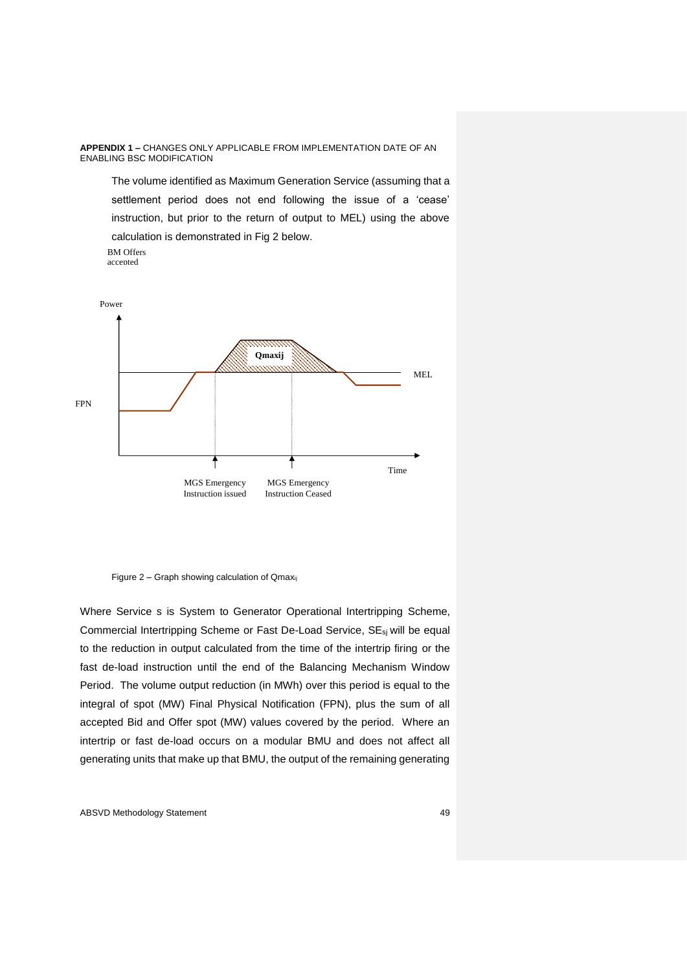The volume identified as Maximum Generation Service (assuming that a settlement period does not end following the issue of a 'cease' instruction, but prior to the return of output to MEL) using the above calculation is demonstrated in Fig 2 below.

BM Offers accepted



Figure 2 – Graph showing calculation of Qmaxij

Where Service s is System to Generator Operational Intertripping Scheme, Commercial Intertripping Scheme or Fast De-Load Service, SEsj will be equal to the reduction in output calculated from the time of the intertrip firing or the fast de-load instruction until the end of the Balancing Mechanism Window Period. The volume output reduction (in MWh) over this period is equal to the integral of spot (MW) Final Physical Notification (FPN), plus the sum of all accepted Bid and Offer spot (MW) values covered by the period. Where an intertrip or fast de-load occurs on a modular BMU and does not affect all generating units that make up that BMU, the output of the remaining generating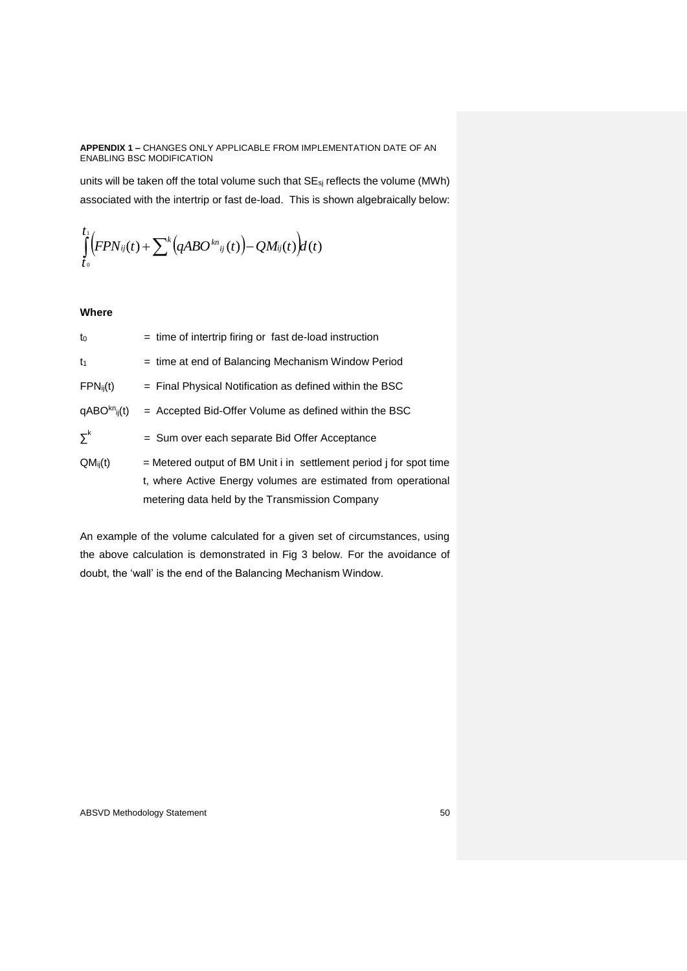units will be taken off the total volume such that SE<sub>sj</sub> reflects the volume (MWh) associated with the intertrip or fast de-load. This is shown algebraically below:

$$
\int\limits_{t_0}^{t_1}\Bigl(FPN_{ij}(t)+\sum\nolimits^k\Bigl(qABO^{kn}_{ij}(t)\Bigr)-QM_{ij}(t)\Bigr)d(t)
$$

#### **Where**

| to                         | $=$ time of intertrip firing or fast de-load instruction           |
|----------------------------|--------------------------------------------------------------------|
| t1                         | = time at end of Balancing Mechanism Window Period                 |
| $FPN_{ij}(t)$              | $=$ Final Physical Notification as defined within the BSC          |
| $qABOkn$ <sub>ii</sub> (t) | = Accepted Bid-Offer Volume as defined within the BSC              |
| $\Sigma^k$                 | = Sum over each separate Bid Offer Acceptance                      |
| $QM_{ij}(t)$               | = Metered output of BM Unit i in settlement period j for spot time |
|                            | t, where Active Energy volumes are estimated from operational      |
|                            | metering data held by the Transmission Company                     |

An example of the volume calculated for a given set of circumstances, using the above calculation is demonstrated in Fig 3 below. For the avoidance of doubt, the 'wall' is the end of the Balancing Mechanism Window.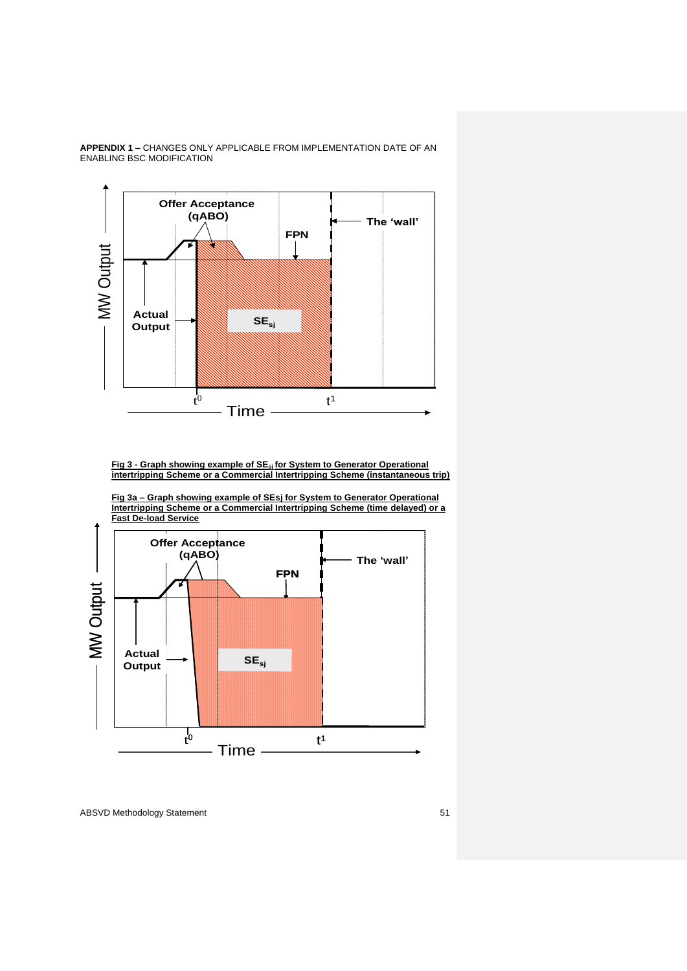

**Fig 3 - Graph showing example of SEsj for System to Generator Operational intertripping Scheme or a Commercial Intertripping Scheme (instantaneous trip)**



**Fig 3a – Graph showing example of SEsj for System to Generator Operational Intertripping Scheme or a Commercial Intertripping Scheme (time delayed) or a**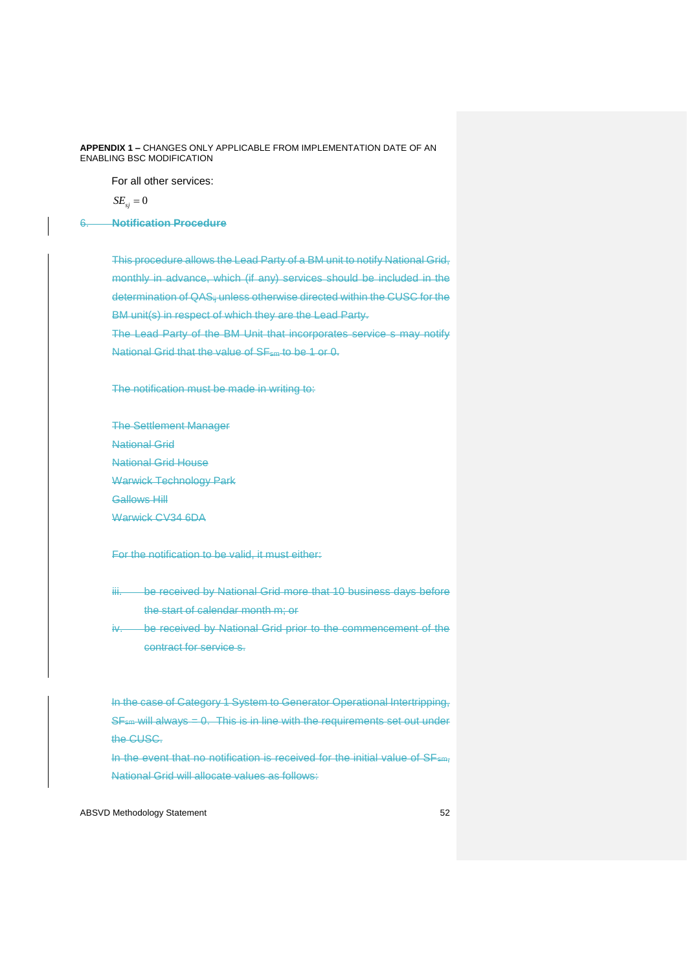For all other services:

 $SE_{sj} = 0$ 

6. **Notification Procedure**

This procedure allows the Lead Party of a BM unit to notify National Grid, monthly in advance, which (if any) services should be included in the determination of QAS<sub>ij</sub> unless otherwise directed within the CUSC for the BM unit(s) in respect of which they are the Lead Party.

The Lead Party of the BM Unit that incorporates service s may notify National Grid that the value of SF<sub>sm</sub> to be 1 or 0.

The notification must be made in writing to:

The Settlement Manager National Grid National Grid House Warwick Technology Park Gallows Hill Warwick CV34 6DA

For the notification to be valid, it must either:

- iii. be received by National Grid more that 10 business days before the start of calendar month m; or
- iv. be received by National Grid prior to the commencement of the contract for service s.

In the case of Category 1 System to Generator Operational Intertripping,  $SF<sub>sm</sub> will always = 0. This is in line with the requirements set out under$ the CUSC.

In the event that no notification is received for the initial value of  $SF_{\text{sm}}$ . National Grid will allocate values as follows: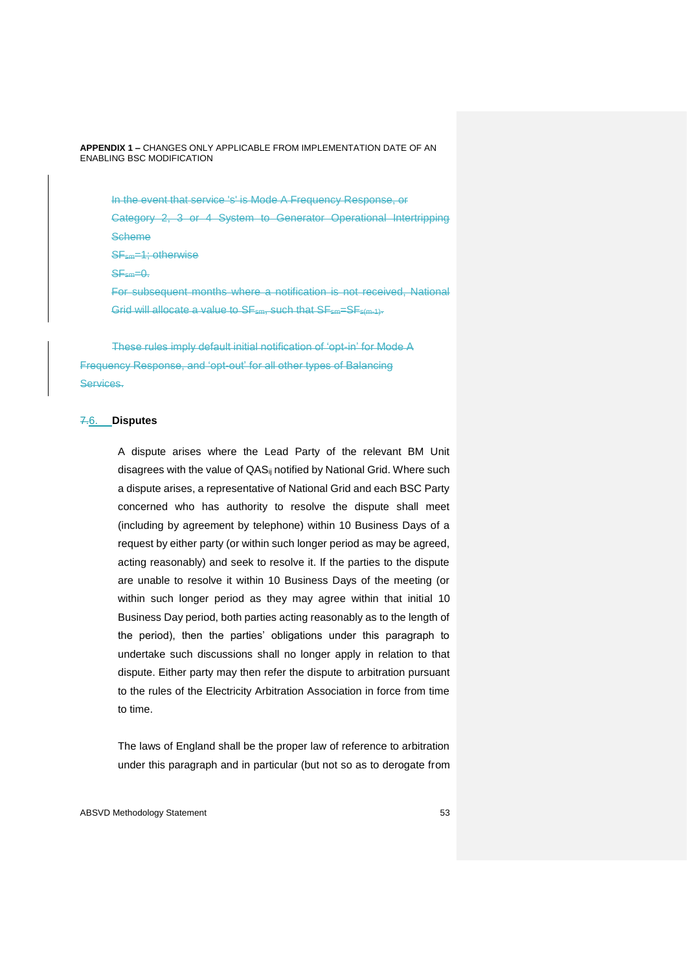In the event that service 's' is Mode A Frequency Response, or

Category 2, 3 or 4 System to Generator Operational Intertripping **Scheme** 

SFsm=1; otherwise

 $SF<sub>sm</sub>=0.$ 

For subsequent months where a notification is not received, National Grid will allocate a value to SF<sub>sm</sub>, such that SF<sub>sm</sub>=SF<sub>s(m-1)</sub>.

These rules imply default initial notification of 'opt-in' for Mode A Frequency Response, and 'opt-out' for all other types of Balancing Services.

#### 7.6. **Disputes**

A dispute arises where the Lead Party of the relevant BM Unit disagrees with the value of QAS<sub>ij</sub> notified by National Grid. Where such a dispute arises, a representative of National Grid and each BSC Party concerned who has authority to resolve the dispute shall meet (including by agreement by telephone) within 10 Business Days of a request by either party (or within such longer period as may be agreed, acting reasonably) and seek to resolve it. If the parties to the dispute are unable to resolve it within 10 Business Days of the meeting (or within such longer period as they may agree within that initial 10 Business Day period, both parties acting reasonably as to the length of the period), then the parties' obligations under this paragraph to undertake such discussions shall no longer apply in relation to that dispute. Either party may then refer the dispute to arbitration pursuant to the rules of the Electricity Arbitration Association in force from time to time.

The laws of England shall be the proper law of reference to arbitration under this paragraph and in particular (but not so as to derogate from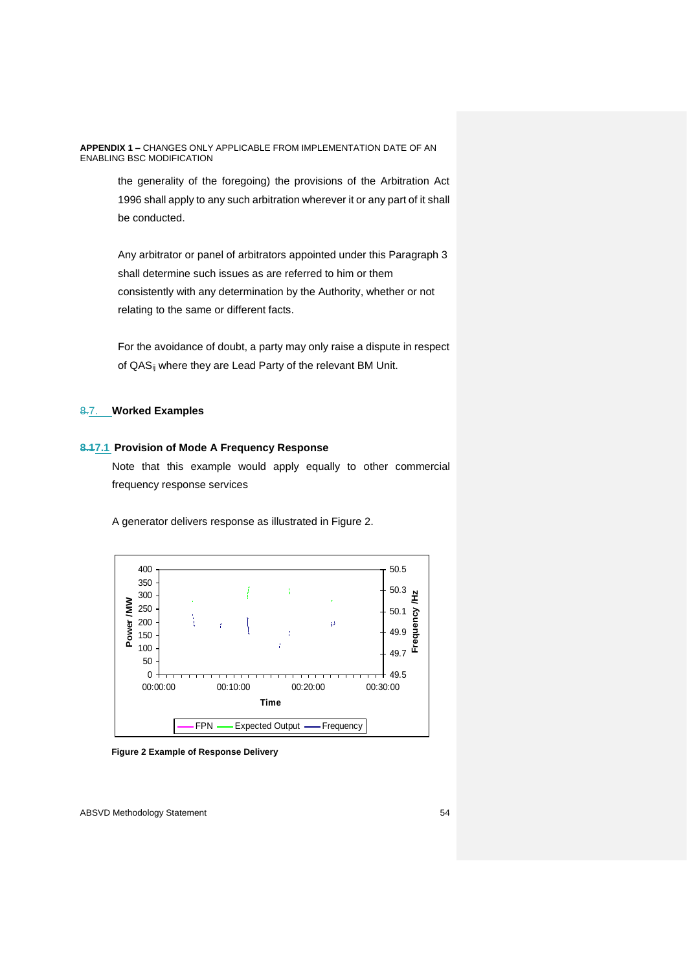> the generality of the foregoing) the provisions of the Arbitration Act 1996 shall apply to any such arbitration wherever it or any part of it shall be conducted.

> Any arbitrator or panel of arbitrators appointed under this Paragraph 3 shall determine such issues as are referred to him or them consistently with any determination by the Authority, whether or not relating to the same or different facts.

For the avoidance of doubt, a party may only raise a dispute in respect of QAS<sub>ij</sub> where they are Lead Party of the relevant BM Unit.

#### 8.7. **Worked Examples**

#### **8.17.1 Provision of Mode A Frequency Response**

Note that this example would apply equally to other commercial frequency response services

A generator delivers response as illustrated in Figure 2.



**Figure 2 Example of Response Delivery**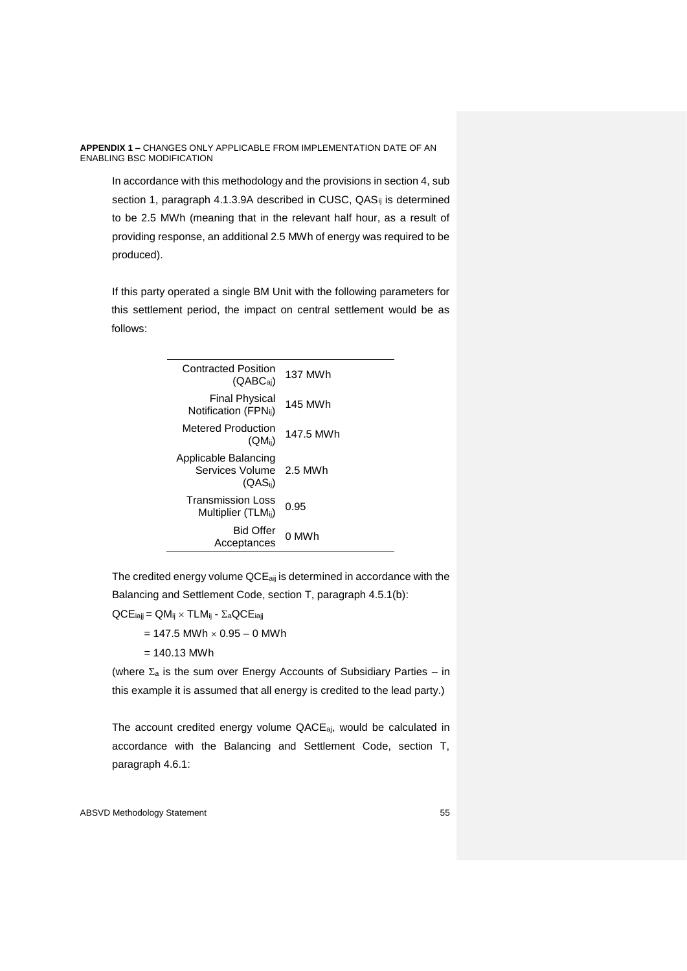In accordance with this methodology and the provisions in section 4, sub section 1, paragraph 4.1.3.9A described in CUSC, QAS<sub>ij</sub> is determined to be 2.5 MWh (meaning that in the relevant half hour, as a result of providing response, an additional 2.5 MWh of energy was required to be produced).

If this party operated a single BM Unit with the following parameters for this settlement period, the impact on central settlement would be as follows:

| <b>Contracted Position</b><br>$(QABC_{ai})$                 | 137 MWh   |
|-------------------------------------------------------------|-----------|
| Final Physical<br>Notification (FPN <sub>ii</sub> )         | 145 MWh   |
| Metered Production<br>$(QM_{ii})$                           | 147.5 MWh |
| Applicable Balancing<br>Services Volume<br>$(QAS_{ii})$     | 2.5 MWh   |
| <b>Transmission Loss</b><br>Multiplier (TLM <sub>ii</sub> ) | 0.95      |
| <b>Bid Offer</b><br>Acceptances                             | 0 MWh     |

The credited energy volume QCEaij is determined in accordance with the Balancing and Settlement Code, section T, paragraph 4.5.1(b):

 $\mathsf{QCE}_{\mathsf{iajj}} = \mathsf{QM}_{\mathsf{ij}} \times \mathsf{TLM}_{\mathsf{ij}}$  -  $\Sigma_{\mathsf{a}} \mathsf{QCE}_{\mathsf{iajj}}$ 

 $= 147.5$  MWh  $\times$  0.95 – 0 MWh

 $= 140.13$  MWh

(where  $\Sigma_a$  is the sum over Energy Accounts of Subsidiary Parties – in this example it is assumed that all energy is credited to the lead party.)

The account credited energy volume QACEaj, would be calculated in accordance with the Balancing and Settlement Code, section T, paragraph 4.6.1: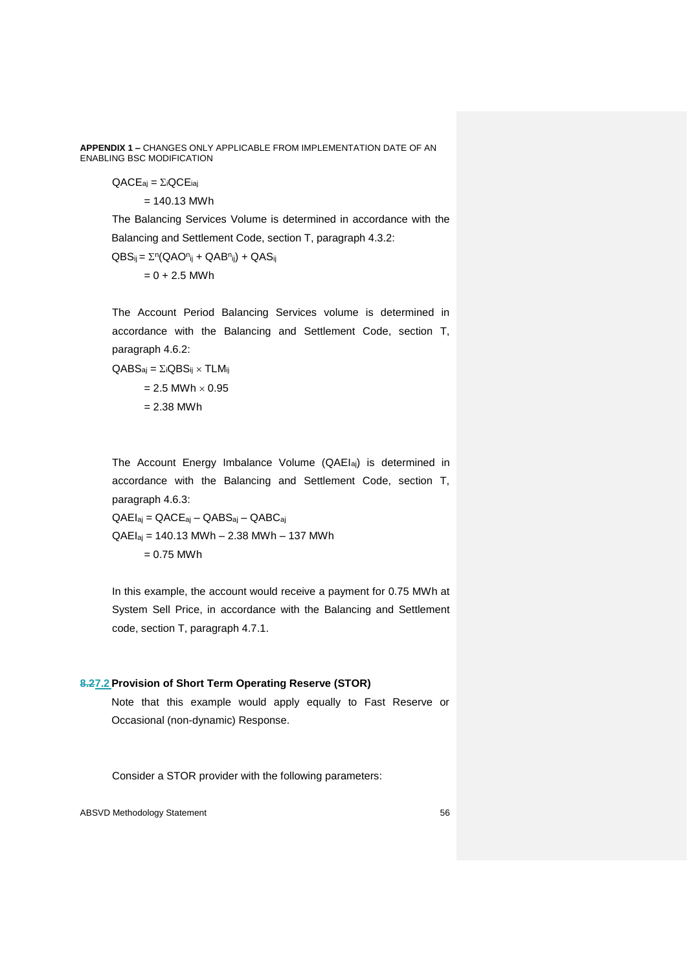$QACE_{ai} = \Sigma_iQCE_{iaj}$ 

 $= 140.13$  MWh

The Balancing Services Volume is determined in accordance with the Balancing and Settlement Code, section T, paragraph 4.3.2:

 $\text{QBS}_{ij} = \Sigma^{n}(\text{QAO}^{n}_{ij} + \text{QAB}^{n}_{ij}) + \text{QAS}_{ij}$ 

 $= 0 + 2.5$  MWh

The Account Period Balancing Services volume is determined in accordance with the Balancing and Settlement Code, section T, paragraph 4.6.2:

 $QABS_{aj} = \Sigma_iQBS_{ij} \times TLM_{ij}$ 

 $= 2.5$  MWh  $\times$  0.95  $= 2.38$  MWh

The Account Energy Imbalance Volume (QAEIaj) is determined in accordance with the Balancing and Settlement Code, section T, paragraph 4.6.3:

QAEIaj = QACEaj – QABSaj – QABCaj QAEIaj = 140.13 MWh – 2.38 MWh – 137 MWh  $= 0.75$  MWh

In this example, the account would receive a payment for 0.75 MWh at System Sell Price, in accordance with the Balancing and Settlement code, section T, paragraph 4.7.1.

#### **8.27.2 Provision of Short Term Operating Reserve (STOR)**

Note that this example would apply equally to Fast Reserve or Occasional (non-dynamic) Response.

Consider a STOR provider with the following parameters: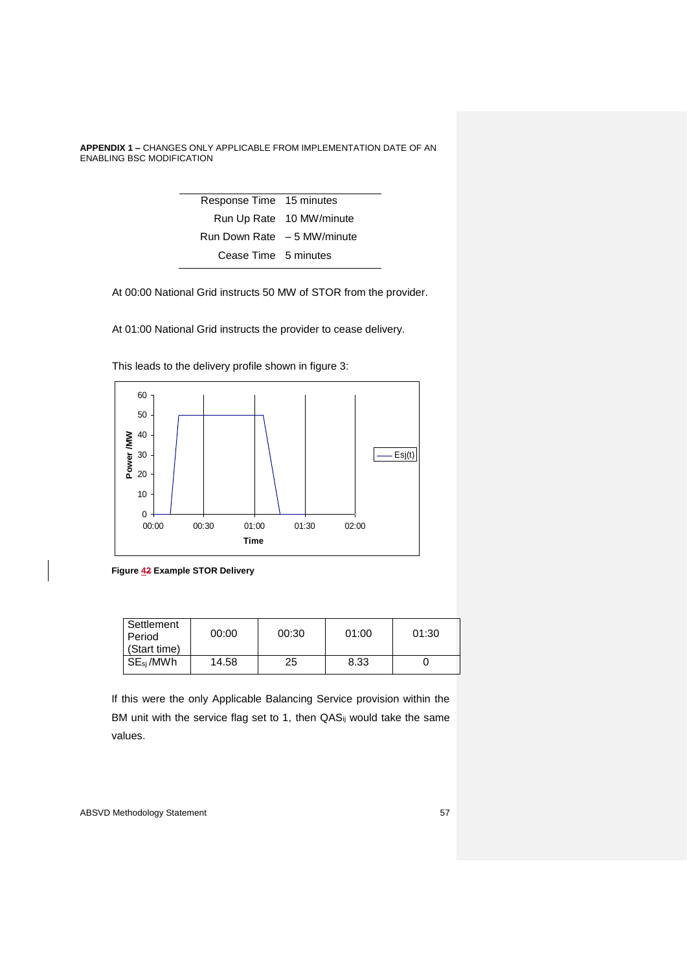| Response Time 15 minutes     |                          |
|------------------------------|--------------------------|
|                              | Run Up Rate 10 MW/minute |
| Run Down Rate $-5$ MW/minute |                          |
| Cease Time 5 minutes         |                          |

At 00:00 National Grid instructs 50 MW of STOR from the provider.

At 01:00 National Grid instructs the provider to cease delivery.



This leads to the delivery profile shown in figure 3:

**Figure 42 Example STOR Delivery**

| Settlement<br>Period<br>(Start time) | 00:00 | 00:30 | 01:00 | 01:30 |
|--------------------------------------|-------|-------|-------|-------|
| SE <sub>si</sub> /MWh                | 14.58 | 25    | 8.33  |       |

If this were the only Applicable Balancing Service provision within the BM unit with the service flag set to 1, then  $QAS_{ij}$  would take the same values.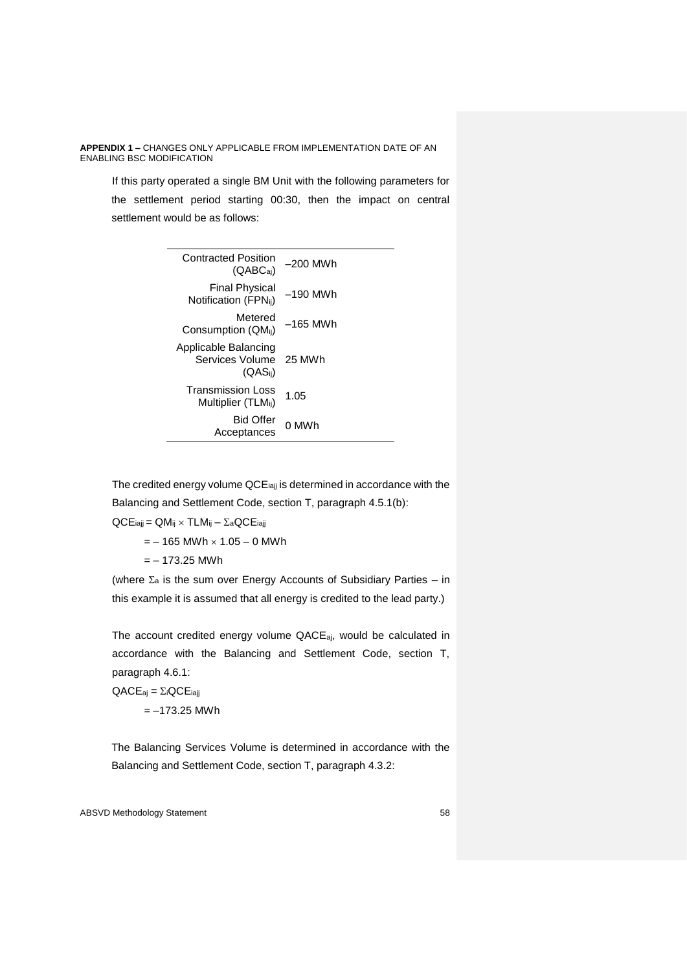If this party operated a single BM Unit with the following parameters for the settlement period starting 00:30, then the impact on central settlement would be as follows:

| <b>Contracted Position</b><br>$(QABC_{ai})$                 | –200 MWh |
|-------------------------------------------------------------|----------|
| <b>Final Physical</b><br>Notification (FPN <sub>ii</sub> )  | –190 MWh |
| Metered<br>Consumption (QM <sub>ii</sub> )                  | –165 MWh |
| Applicable Balancing<br>Services Volume<br>$(QAS_{ii})$     | 25 MWh   |
| <b>Transmission Loss</b><br>Multiplier (TLM <sub>ii</sub> ) | 1.05     |
| <b>Bid Offer</b><br>Acceptances                             | 0 MWh    |

The credited energy volume QCEiajj is determined in accordance with the Balancing and Settlement Code, section T, paragraph 4.5.1(b):

 $QCE_{\text{iajj}} = QM_{ij} \times TLM_{ij} - \Sigma_a QCE_{\text{iajj}}$ 

 $=$  – 165 MWh  $\times$  1.05 – 0 MWh

 $= - 173.25$  MWh

(where  $\Sigma_a$  is the sum over Energy Accounts of Subsidiary Parties – in this example it is assumed that all energy is credited to the lead party.)

The account credited energy volume QACEaj, would be calculated in accordance with the Balancing and Settlement Code, section T, paragraph 4.6.1:

 $QACE<sub>aj</sub> = \Sigma<sub>i</sub>QCE<sub>iaji</sub>$ 

 $=-173.25$  MWh

The Balancing Services Volume is determined in accordance with the Balancing and Settlement Code, section T, paragraph 4.3.2: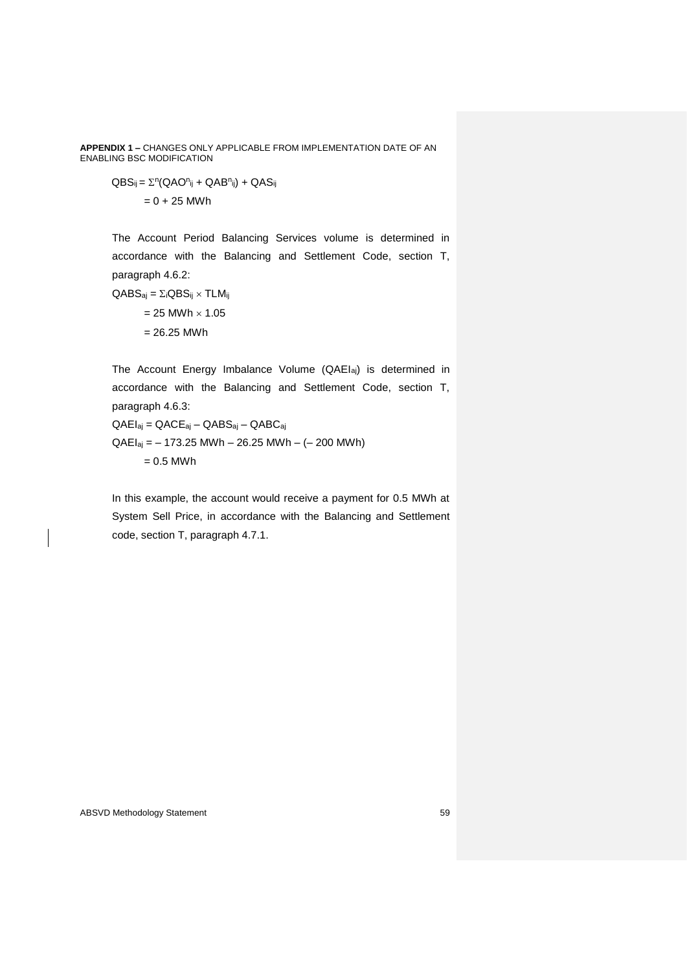$\text{QBS}_{ij} = \Sigma^{n}(\text{QAO}^{n}_{ij} + \text{QAB}^{n}_{ij}) + \text{QAS}_{ij}$  $= 0 + 25$  MWh

The Account Period Balancing Services volume is determined in accordance with the Balancing and Settlement Code, section T, paragraph 4.6.2:

 $QABS_{aj} = \Sigma_iQBS_{ij} \times TLM_{ij}$  $= 25$  MWh  $\times$  1.05

 $= 26.25$  MWh

The Account Energy Imbalance Volume (QAEIaj) is determined in accordance with the Balancing and Settlement Code, section T, paragraph 4.6.3: QAEIaj = QACEaj – QABSaj – QABCaj  $QAEI_{aj} = -173.25$  MWh – 26.25 MWh – (– 200 MWh)  $= 0.5$  MWh

In this example, the account would receive a payment for 0.5 MWh at System Sell Price, in accordance with the Balancing and Settlement code, section T, paragraph 4.7.1.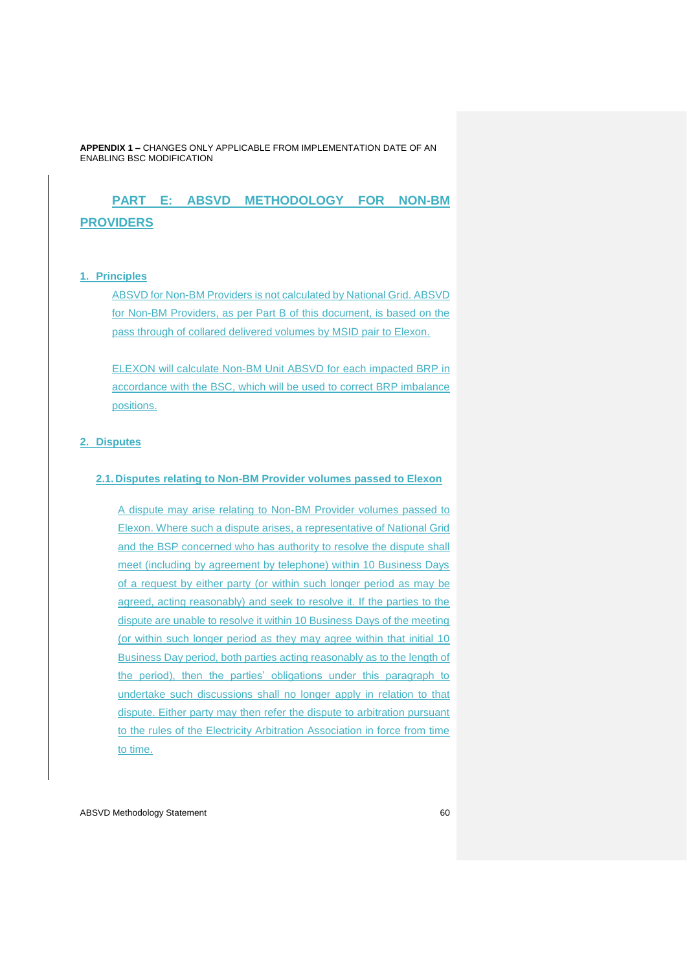## **PART E: ABSVD METHODOLOGY FOR NON-BM PROVIDERS**

#### **1. Principles**

ABSVD for Non-BM Providers is not calculated by National Grid. ABSVD for Non-BM Providers, as per Part B of this document, is based on the pass through of collared delivered volumes by MSID pair to Elexon.

ELEXON will calculate Non-BM Unit ABSVD for each impacted BRP in accordance with the BSC, which will be used to correct BRP imbalance positions.

#### **2. Disputes**

#### **2.1.Disputes relating to Non-BM Provider volumes passed to Elexon**

A dispute may arise relating to Non-BM Provider volumes passed to Elexon. Where such a dispute arises, a representative of National Grid and the BSP concerned who has authority to resolve the dispute shall meet (including by agreement by telephone) within 10 Business Days of a request by either party (or within such longer period as may be agreed, acting reasonably) and seek to resolve it. If the parties to the dispute are unable to resolve it within 10 Business Days of the meeting (or within such longer period as they may agree within that initial 10 Business Day period, both parties acting reasonably as to the length of the period), then the parties' obligations under this paragraph to undertake such discussions shall no longer apply in relation to that dispute. Either party may then refer the dispute to arbitration pursuant to the rules of the Electricity Arbitration Association in force from time to time.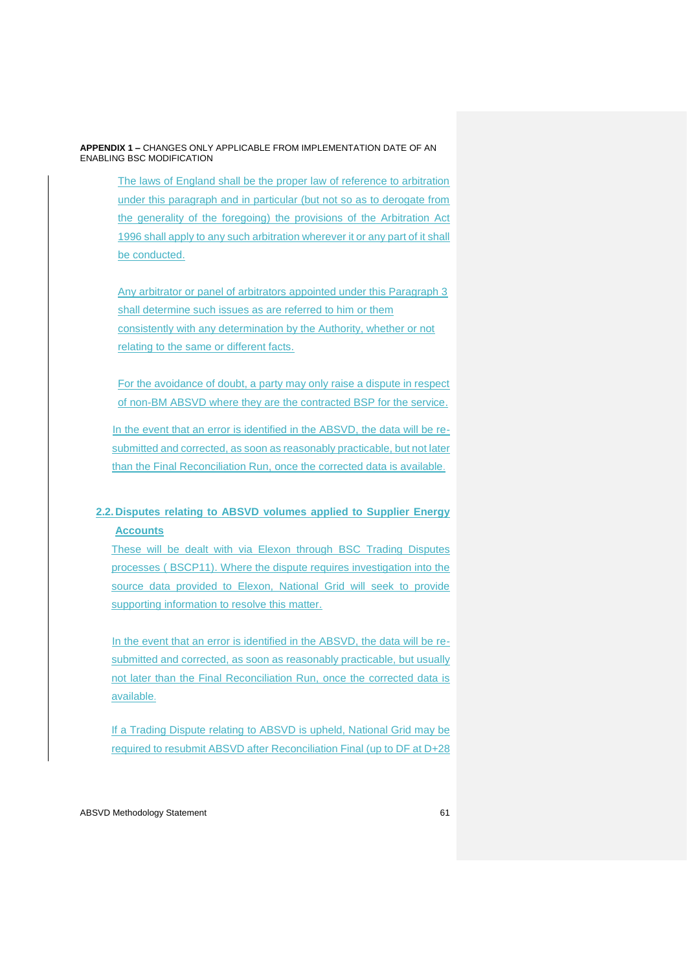> The laws of England shall be the proper law of reference to arbitration under this paragraph and in particular (but not so as to derogate from the generality of the foregoing) the provisions of the Arbitration Act 1996 shall apply to any such arbitration wherever it or any part of it shall be conducted.

> Any arbitrator or panel of arbitrators appointed under this Paragraph 3 shall determine such issues as are referred to him or them consistently with any determination by the Authority, whether or not relating to the same or different facts.

> For the avoidance of doubt, a party may only raise a dispute in respect of non-BM ABSVD where they are the contracted BSP for the service.

In the event that an error is identified in the ABSVD, the data will be resubmitted and corrected, as soon as reasonably practicable, but not later than the Final Reconciliation Run, once the corrected data is available.

## **2.2.Disputes relating to ABSVD volumes applied to Supplier Energy Accounts**

These will be dealt with via Elexon through BSC Trading Disputes processes ( BSCP11). Where the dispute requires investigation into the source data provided to Elexon, National Grid will seek to provide supporting information to resolve this matter.

In the event that an error is identified in the ABSVD, the data will be resubmitted and corrected, as soon as reasonably practicable, but usually not later than the Final Reconciliation Run, once the corrected data is available.

If a Trading Dispute relating to ABSVD is upheld, National Grid may be required to resubmit ABSVD after Reconciliation Final (up to DF at D+28